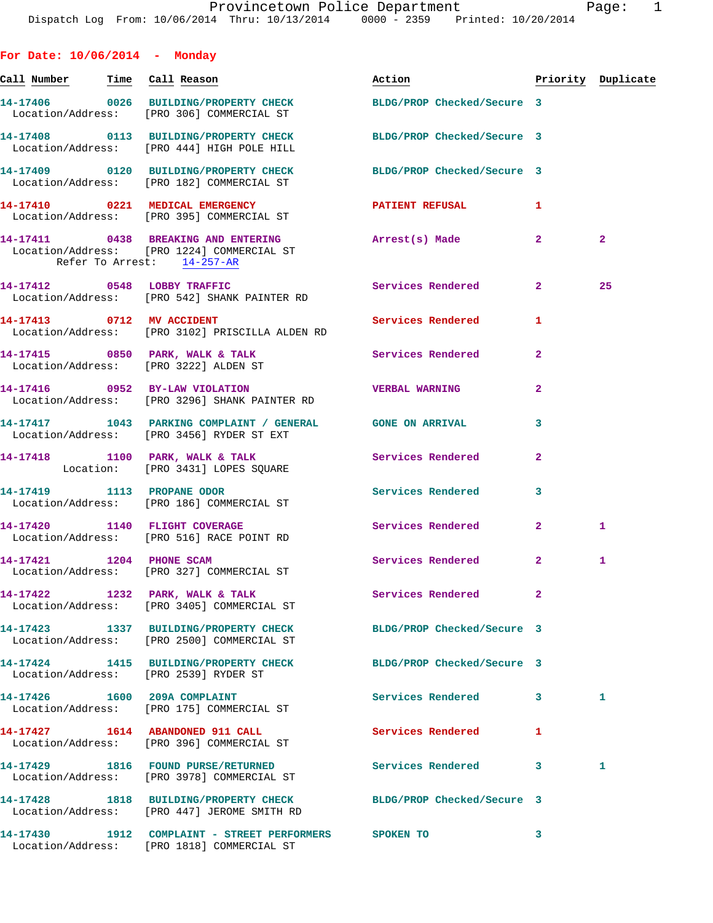|                                       | Provincerown Police Department<br>Dispatch Log From: 10/06/2014 Thru: 10/13/2014 0000 - 2359 Printed: 10/20/2014 |                            |                         | raye.              |
|---------------------------------------|------------------------------------------------------------------------------------------------------------------|----------------------------|-------------------------|--------------------|
| For Date: $10/06/2014$ - Monday       |                                                                                                                  |                            |                         |                    |
| <u>Call Number — Time Call Reason</u> |                                                                                                                  | Action                     |                         | Priority Duplicate |
|                                       | 14-17406 0026 BUILDING/PROPERTY CHECK BLDG/PROP Checked/Secure 3<br>Location/Address: [PRO 306] COMMERCIAL ST    |                            |                         |                    |
|                                       | 14-17408 0113 BUILDING/PROPERTY CHECK BLDG/PROP Checked/Secure 3<br>Location/Address: [PRO 444] HIGH POLE HILL   |                            |                         |                    |
|                                       | 14-17409 0120 BUILDING/PROPERTY CHECK BLDG/PROP Checked/Secure 3<br>Location/Address: [PRO 182] COMMERCIAL ST    |                            |                         |                    |
|                                       | 14-17410 0221 MEDICAL EMERGENCY<br>Location/Address: [PRO 395] COMMERCIAL ST                                     | PATIENT REFUSAL            | 1                       |                    |
| Refer To Arrest: 14-257-AR            | 14-17411 0438 BREAKING AND ENTERING Note arrest (s) Made<br>Location/Address: [PRO 1224] COMMERCIAL ST           |                            | $\overline{2}$          | $\mathbf{2}$       |
|                                       | 14-17412 0548 LOBBY TRAFFIC<br>Location/Address: [PRO 542] SHANK PAINTER RD                                      | Services Rendered          | 2 <sup>1</sup>          | 25                 |
| 14-17413 0712 MV ACCIDENT             | Location/Address: [PRO 3102] PRISCILLA ALDEN RD                                                                  | Services Rendered          | 1                       |                    |
|                                       | 14-17415 0850 PARK, WALK & TALK Services Rendered<br>Location/Address: [PRO 3222] ALDEN ST                       |                            | $\overline{a}$          |                    |
|                                       | 14-17416 0952 BY-LAW VIOLATION<br>Location/Address: [PRO 3296] SHANK PAINTER RD                                  | <b>VERBAL WARNING</b>      | $\overline{a}$          |                    |
|                                       | 14-17417 1043 PARKING COMPLAINT / GENERAL GONE ON ARRIVAL<br>Location/Address: [PRO 3456] RYDER ST EXT           |                            | 3                       |                    |
|                                       | 14-17418 1100 PARK, WALK & TALK<br>Location: [PRO 3431] LOPES SQUARE                                             | <b>Services Rendered</b>   | 2                       |                    |
| 14-17419 1113 PROPANE ODOR            | Location/Address: [PRO 186] COMMERCIAL ST                                                                        | Services Rendered          | $\overline{\mathbf{3}}$ |                    |
|                                       | 14-17420 1140 FLIGHT COVERAGE<br>Location/Address: [PRO 516] RACE POINT RD                                       | Services Rendered          | $\overline{2}$          | 1                  |
| 14-17421 1204 PHONE SCAM              | Location/Address: [PRO 327] COMMERCIAL ST                                                                        | Services Rendered 2        |                         | 1                  |
|                                       | 14-17422 1232 PARK, WALK & TALK<br>Location/Address: [PRO 3405] COMMERCIAL ST                                    | Services Rendered          | $\overline{\mathbf{2}}$ |                    |
|                                       | 14-17423 1337 BUILDING/PROPERTY CHECK<br>Location/Address: [PRO 2500] COMMERCIAL ST                              | BLDG/PROP Checked/Secure 3 |                         |                    |
|                                       | 14-17424 1415 BUILDING/PROPERTY CHECK BLDG/PROP Checked/Secure 3<br>Location/Address: [PRO 2539] RYDER ST        |                            |                         |                    |
|                                       | 14-17426 1600 209A COMPLAINT<br>Location/Address: [PRO 175] COMMERCIAL ST                                        | Services Rendered 3        |                         | 1.                 |
|                                       | 14-17427 1614 ABANDONED 911 CALL<br>Location/Address: [PRO 396] COMMERCIAL ST                                    | <b>Services Rendered</b>   | 1                       |                    |
|                                       | 14-17429 1816 FOUND PURSE/RETURNED<br>Location/Address: [PRO 3978] COMMERCIAL ST                                 | Services Rendered 3        |                         | 1.                 |
|                                       | 14-17428 1818 BUILDING/PROPERTY CHECK BLDG/PROP Checked/Secure 3<br>Location/Address: [PRO 447] JEROME SMITH RD  |                            |                         |                    |
|                                       | 14-17430 1912 COMPLAINT - STREET PERFORMERS SPOKEN TO<br>Location/Address: [PRO 1818] COMMERCIAL ST              |                            | 3                       |                    |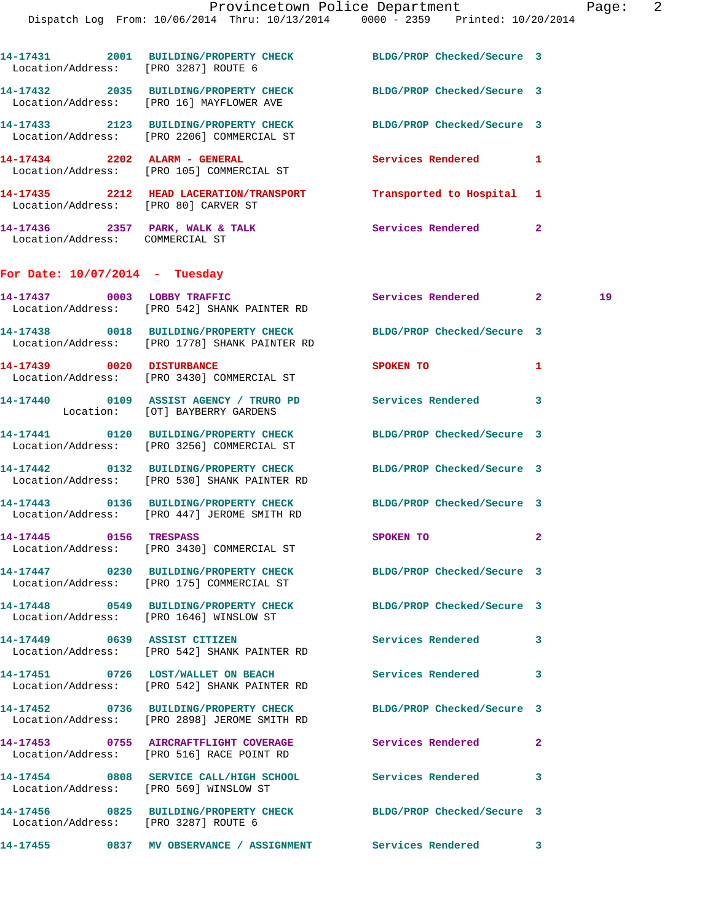| Location/Address: [PRO 3287] ROUTE 6 | 14-17431 2001 BUILDING/PROPERTY CHECK BLDG/PROP Checked/Secure 3                                                  |                             |                |    |
|--------------------------------------|-------------------------------------------------------------------------------------------------------------------|-----------------------------|----------------|----|
|                                      | 14-17432 2035 BUILDING/PROPERTY CHECK BLDG/PROP Checked/Secure 3<br>Location/Address: [PRO 16] MAYFLOWER AVE      |                             |                |    |
|                                      | 14-17433 2123 BUILDING/PROPERTY CHECK<br>Location/Address: [PRO 2206] COMMERCIAL ST                               | BLDG/PROP Checked/Secure 3  |                |    |
|                                      | 14-17434 2202 ALARM - GENERAL<br>Location/Address: [PRO 105] COMMERCIAL ST                                        | Services Rendered 1         |                |    |
|                                      | 14-17435 2212 HEAD LACERATION/TRANSPORT Transported to Hospital 1<br>Location/Address: [PRO 80] CARVER ST         |                             |                |    |
| Location/Address: COMMERCIAL ST      | 14-17436 2357 PARK, WALK & TALK Services Rendered                                                                 |                             | $\overline{2}$ |    |
| For Date: $10/07/2014$ - Tuesday     |                                                                                                                   |                             |                |    |
|                                      | 14-17437 0003 LOBBY TRAFFIC<br>Location/Address: [PRO 542] SHANK PAINTER RD                                       | Services Rendered 2         |                | 19 |
|                                      | 14-17438 0018 BUILDING/PROPERTY CHECK BLDG/PROP Checked/Secure 3<br>Location/Address: [PRO 1778] SHANK PAINTER RD |                             |                |    |
| 14-17439 0020 DISTURBANCE            | Location/Address: [PRO 3430] COMMERCIAL ST                                                                        | SPOKEN TO                   | 1              |    |
|                                      | 14-17440 0109 ASSIST AGENCY / TRURO PD Services Rendered 3<br>Location: [OT] BAYBERRY GARDENS                     |                             |                |    |
|                                      | 14-17441 0120 BUILDING/PROPERTY CHECK BLDG/PROP Checked/Secure 3<br>Location/Address: [PRO 3256] COMMERCIAL ST    |                             |                |    |
|                                      | 14-17442 0132 BUILDING/PROPERTY CHECK BLDG/PROP Checked/Secure 3<br>Location/Address: [PRO 530] SHANK PAINTER RD  |                             |                |    |
|                                      | 14-17443 0136 BUILDING/PROPERTY CHECK BLDG/PROP Checked/Secure 3<br>Location/Address: [PRO 447] JEROME SMITH RD   |                             |                |    |
| 14-17445 0156 TRESPASS               |                                                                                                                   | SPOKEN TO NAME OF SPOKEN TO | $\overline{a}$ |    |

Location/Address: [PRO 175] COMMERCIAL ST

**14-17448 0549 BUILDING/PROPERTY CHECK BLDG/PROP Checked/Secure 3**  Location/Address: [PRO 1646] WINSLOW ST

**14-17449 0639 ASSIST CITIZEN Services Rendered 3**  Location/Address: [PRO 542] SHANK PAINTER RD

Location/Address: [PRO 542] SHANK PAINTER RD

Location/Address: [PRO 2898] JEROME SMITH RD

Location/Address: [PRO 516] RACE POINT RD

Location/Address: [PRO 569] WINSLOW ST

Location/Address: [PRO 3287] ROUTE 6

**14-17451 0726 LOST/WALLET ON BEACH Services Rendered 3** 

**14-17452 0736 BUILDING/PROPERTY CHECK BLDG/PROP Checked/Secure 3** 

**14-17453 0755 AIRCRAFTFLIGHT COVERAGE Services Rendered 2** 

**14-17454 0808 SERVICE CALL/HIGH SCHOOL Services Rendered 3** 

**14-17456 0825 BUILDING/PROPERTY CHECK BLDG/PROP Checked/Secure 3** 

**14-17455 0837 MV OBSERVANCE / ASSIGNMENT Services Rendered 3** 

Location/Address: [PRO 3430] COMMERCIAL ST

**14-17447 0230 BUILDING/PROPERTY CHECK BLDG/PROP Checked/Secure 3**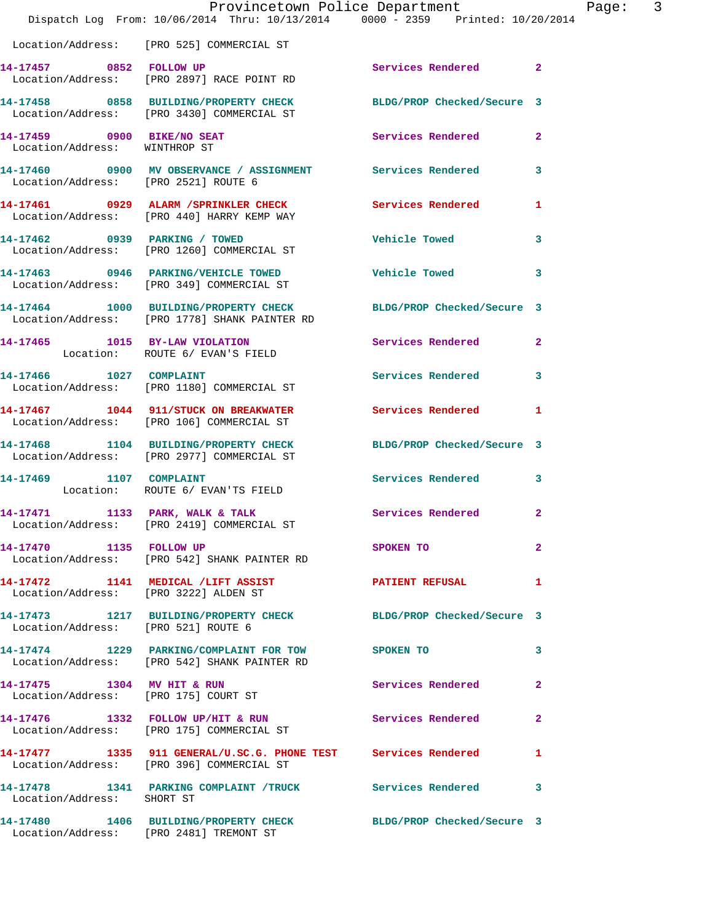|                                                             | Dispatch Log From: 10/06/2014 Thru: 10/13/2014 0000 - 2359 Printed: 10/20/2014                                    | Provincetown Police Department          | Page: 3        |
|-------------------------------------------------------------|-------------------------------------------------------------------------------------------------------------------|-----------------------------------------|----------------|
|                                                             | Location/Address: [PRO 525] COMMERCIAL ST                                                                         |                                         |                |
| 14-17457 0852 FOLLOW UP                                     | Location/Address: [PRO 2897] RACE POINT RD                                                                        | Services Rendered 2                     |                |
|                                                             | 14-17458 0858 BUILDING/PROPERTY CHECK BLDG/PROP Checked/Secure 3<br>Location/Address: [PRO 3430] COMMERCIAL ST    |                                         |                |
| 14-17459 0900 BIKE/NO SEAT<br>Location/Address: WINTHROP ST |                                                                                                                   | Services Rendered                       | $\overline{a}$ |
|                                                             | 14-17460 0900 MV OBSERVANCE / ASSIGNMENT Services Rendered<br>Location/Address: [PRO 2521] ROUTE 6                |                                         | 3              |
|                                                             | 14-17461 0929 ALARM / SPRINKLER CHECK Services Rendered<br>Location/Address: [PRO 440] HARRY KEMP WAY             |                                         | $\mathbf{1}$   |
|                                                             | 14-17462 0939 PARKING / TOWED<br>Location/Address: [PRO 1260] COMMERCIAL ST                                       | <b>Vehicle Towed State</b>              | 3              |
|                                                             | 14-17463 0946 PARKING/VEHICLE TOWED<br>Location/Address: [PRO 349] COMMERCIAL ST                                  | <b>Vehicle Towed</b>                    | 3              |
|                                                             | 14-17464 1000 BUILDING/PROPERTY CHECK BLDG/PROP Checked/Secure 3<br>Location/Address: [PRO 1778] SHANK PAINTER RD |                                         |                |
|                                                             | 14-17465 1015 BY-LAW VIOLATION<br>Location: ROUTE 6/ EVAN'S FIELD                                                 | Services Rendered                       | $\mathbf{2}$   |
|                                                             | 14-17466 1027 COMPLAINT<br>Location/Address: [PRO 1180] COMMERCIAL ST                                             | Services Rendered 3                     |                |
|                                                             | 14-17467 1044 911/STUCK ON BREAKWATER Services Rendered<br>Location/Address: [PRO 106] COMMERCIAL ST              |                                         | 1              |
|                                                             | 14-17468 1104 BUILDING/PROPERTY CHECK BLDG/PROP Checked/Secure 3<br>Location/Address: [PRO 2977] COMMERCIAL ST    |                                         |                |
| 14-17469 1107 COMPLAINT                                     | Location: ROUTE 6/ EVAN'TS FIELD                                                                                  | <b>Services Rendered</b>                | 3              |
|                                                             | 14-17471 1133 PARK, WALK & TALK<br>Location/Address: [PRO 2419] COMMERCIAL ST                                     | Services Rendered 2                     |                |
| 14-17470 1135 FOLLOW UP                                     | Location/Address: [PRO 542] SHANK PAINTER RD                                                                      | SPOKEN TO DESCRIPTION OF REAL PROPERTY. | $\mathbf{2}$   |
|                                                             |                                                                                                                   | PATIENT REFUSAL 1                       |                |
| Location/Address: [PRO 521] ROUTE 6                         | 14-17473 1217 BUILDING/PROPERTY CHECK BLDG/PROP Checked/Secure 3                                                  |                                         |                |
|                                                             | 14-17474 1229 PARKING/COMPLAINT FOR TOW SPOKEN TO<br>Location/Address: [PRO 542] SHANK PAINTER RD                 |                                         | 3              |
| Location/Address: [PRO 175] COURT ST                        | 14-17475 1304 MV HIT & RUN                                                                                        | Services Rendered                       | $\mathbf{2}$   |
|                                                             | 14-17476 1332 FOLLOW UP/HIT & RUN<br>Location/Address: [PRO 175] COMMERCIAL ST                                    | <b>Services Rendered</b>                | $\mathbf{2}$   |
|                                                             | 14-17477 1335 911 GENERAL/U.SC.G. PHONE TEST Services Rendered<br>Location/Address: [PRO 396] COMMERCIAL ST       |                                         | 1              |
| Location/Address: SHORT ST                                  | 14-17478 1341 PARKING COMPLAINT /TRUCK Services Rendered 3                                                        |                                         |                |
|                                                             | 14-17480 1406 BUILDING/PROPERTY CHECK BLDG/PROP Checked/Secure 3<br>Location/Address: [PRO 2481] TREMONT ST       |                                         |                |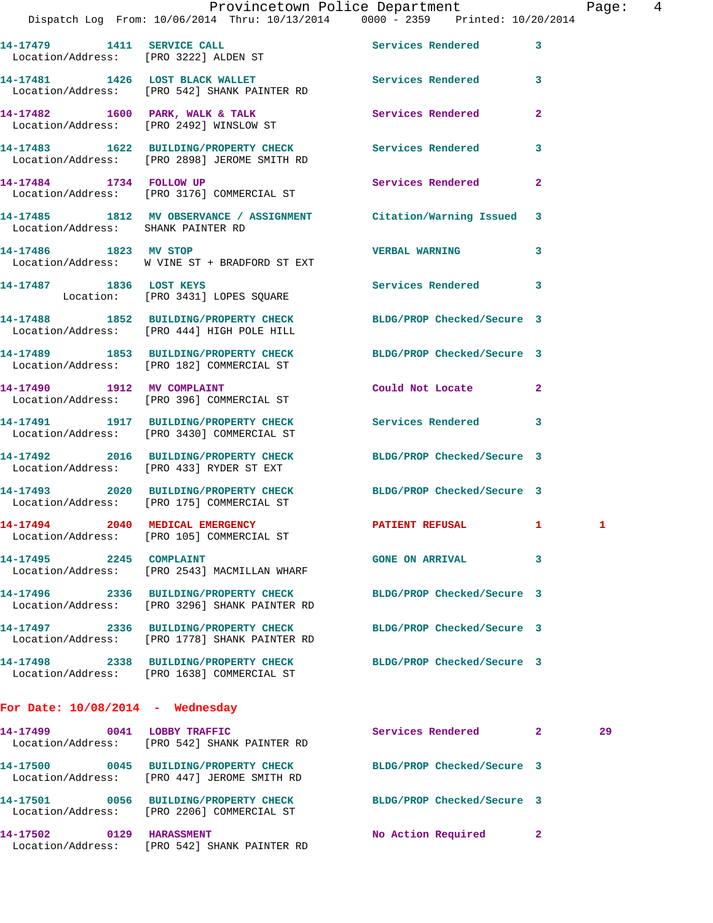|                                                           | Provincetown Police Department                                                 |                   |  |
|-----------------------------------------------------------|--------------------------------------------------------------------------------|-------------------|--|
|                                                           | Dispatch Log From: 10/06/2014 Thru: 10/13/2014 0000 - 2359 Printed: 10/20/2014 |                   |  |
| 14-17479<br>1411<br>Location/Address: [PRO 3222] ALDEN ST | <b>SERVICE CALL</b>                                                            | Services Rendered |  |
| 14-17481<br>1426                                          | <b>LOST BLACK WALLET</b><br>Location/Address: [PRO 542] SHANK PAINTER RD       | Services Rendered |  |

**14-17482 1600 PARK, WALK & TALK Services Rendered 2**  Location/Address: [PRO 2492] WINSLOW ST **14-17483 1622 BUILDING/PROPERTY CHECK Services Rendered 3** 

Location/Address: [PRO 2898] JEROME SMITH RD

**14-17484 1734 FOLLOW UP Services Rendered 2**  Location/Address: [PRO 3176] COMMERCIAL ST

**14-17485 1812 MV OBSERVANCE / ASSIGNMENT Citation/Warning Issued 3**  Location/Address: SHANK PAINTER RD

**14-17486 1823 MV STOP VERBAL WARNING 3**  Location/Address: W VINE ST + BRADFORD ST EXT

**14-17487 1836 LOST KEYS Services Rendered 3**  Location: [PRO 3431] LOPES SQUARE

**14-17488 1852 BUILDING/PROPERTY CHECK BLDG/PROP Checked/Secure 3**  Location/Address: [PRO 444] HIGH POLE HILL

**14-17489 1853 BUILDING/PROPERTY CHECK BLDG/PROP Checked/Secure 3**  Location/Address: [PRO 182] COMMERCIAL ST

**14-17490 1912 MV COMPLAINT Could Not Locate 2**  Location/Address: [PRO 396] COMMERCIAL ST

**14-17491 1917 BUILDING/PROPERTY CHECK Services Rendered 3**  Location/Address: [PRO 3430] COMMERCIAL ST

**14-17492 2016 BUILDING/PROPERTY CHECK BLDG/PROP Checked/Secure 3**  Location/Address: [PRO 433] RYDER ST EXT

**14-17493 2020 BUILDING/PROPERTY CHECK BLDG/PROP Checked/Secure 3**  Location/Address: [PRO 175] COMMERCIAL ST

**14-17494 2040 MEDICAL EMERGENCY 1 2 PATIENT REFUSAL 1 1 1** Location/Address: [PRO 105] COMMERCIAL ST

**14-17495 2245 COMPLAINT GONE ON ARRIVAL 3**  Location/Address: [PRO 2543] MACMILLAN WHARF

**14-17496 2336 BUILDING/PROPERTY CHECK BLDG/PROP Checked/Secure 3**  Location/Address: [PRO 3296] SHANK PAINTER RD

**14-17497 2336 BUILDING/PROPERTY CHECK BLDG/PROP Checked/Secure 3**  Location/Address: [PRO 1778] SHANK PAINTER RD

**14-17498 2338 BUILDING/PROPERTY CHECK BLDG/PROP Checked/Secure 3** 

**For Date: 10/08/2014 - Wednesday**

Location/Address: [PRO 1638] COMMERCIAL ST

**14-17499 0041 LOBBY TRAFFIC Services Rendered 2 29**  Location/Address: [PRO 542] SHANK PAINTER RD **14-17500 0045 BUILDING/PROPERTY CHECK BLDG/PROP Checked/Secure 3**  Location/Address: [PRO 447] JEROME SMITH RD **14-17501 0056 BUILDING/PROPERTY CHECK BLDG/PROP Checked/Secure 3**  Location/Address: [PRO 2206] COMMERCIAL ST **14-17502 0129 HARASSMENT No Action Required 2**  Location/Address: [PRO 542] SHANK PAINTER RD

Page: 4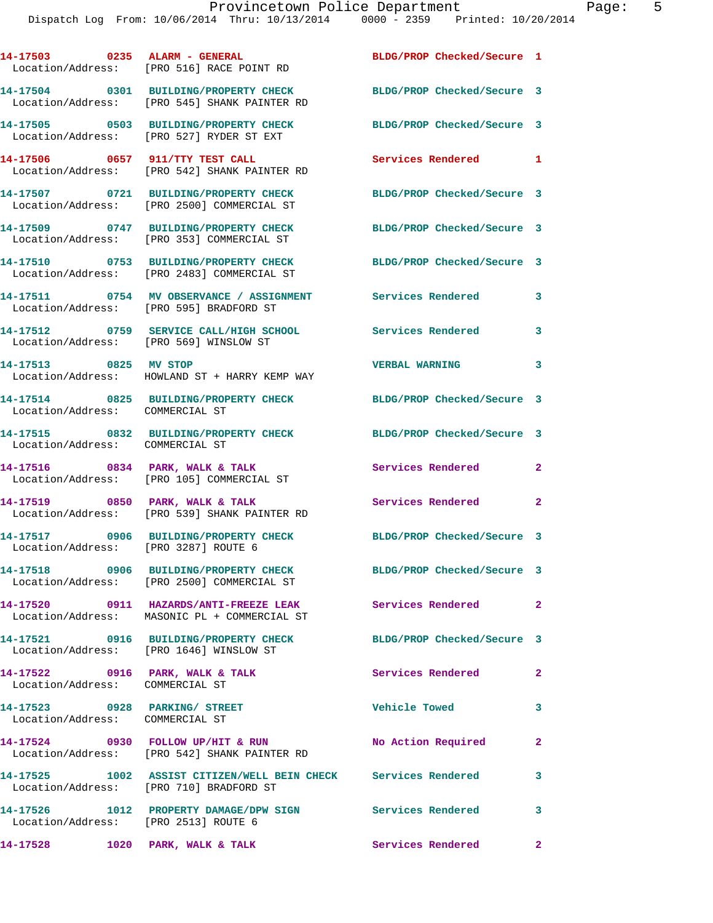| 14-17503 0235 ALARM - GENERAL                                      | Location/Address: [PRO 516] RACE POINT RD                                                                      | BLDG/PROP Checked/Secure 1 |              |
|--------------------------------------------------------------------|----------------------------------------------------------------------------------------------------------------|----------------------------|--------------|
|                                                                    | 14-17504 0301 BUILDING/PROPERTY CHECK<br>Location/Address: [PRO 545] SHANK PAINTER RD                          | BLDG/PROP Checked/Secure 3 |              |
|                                                                    | 14-17505 0503 BUILDING/PROPERTY CHECK<br>Location/Address: [PRO 527] RYDER ST EXT                              | BLDG/PROP Checked/Secure 3 |              |
|                                                                    | 14-17506 0657 911/TTY TEST CALL<br>Location/Address: [PRO 542] SHANK PAINTER RD                                | Services Rendered 1        |              |
|                                                                    | 14-17507 0721 BUILDING/PROPERTY CHECK<br>Location/Address: [PRO 2500] COMMERCIAL ST                            | BLDG/PROP Checked/Secure 3 |              |
|                                                                    | 14-17509 0747 BUILDING/PROPERTY CHECK<br>Location/Address: [PRO 353] COMMERCIAL ST                             | BLDG/PROP Checked/Secure 3 |              |
|                                                                    | 14-17510 0753 BUILDING/PROPERTY CHECK<br>Location/Address: [PRO 2483] COMMERCIAL ST                            | BLDG/PROP Checked/Secure 3 |              |
|                                                                    | 14-17511 0754 MV OBSERVANCE / ASSIGNMENT Services Rendered<br>Location/Address: [PRO 595] BRADFORD ST          |                            | $\mathbf{3}$ |
| Location/Address: [PRO 569] WINSLOW ST                             | 14-17512 0759 SERVICE CALL/HIGH SCHOOL Services Rendered                                                       |                            | 3            |
| 14-17513 0825 MV STOP                                              | Location/Address: HOWLAND ST + HARRY KEMP WAY                                                                  | <b>VERBAL WARNING</b>      | 3            |
| Location/Address: COMMERCIAL ST                                    | 14-17514 0825 BUILDING/PROPERTY CHECK                                                                          | BLDG/PROP Checked/Secure 3 |              |
| Location/Address: COMMERCIAL ST                                    | 14-17515 0832 BUILDING/PROPERTY CHECK BLDG/PROP Checked/Secure 3                                               |                            |              |
|                                                                    | 14-17516 0834 PARK, WALK & TALK<br>Location/Address: [PRO 105] COMMERCIAL ST                                   | Services Rendered          | $\mathbf{2}$ |
|                                                                    | 14-17519 0850 PARK, WALK & TALK<br>Location/Address: [PRO 539] SHANK PAINTER RD                                | Services Rendered 2        |              |
| Location/Address: [PRO 3287] ROUTE 6                               | 14-17517 0906 BUILDING/PROPERTY CHECK                                                                          | BLDG/PROP Checked/Secure 3 |              |
|                                                                    | 14-17518 0906 BUILDING/PROPERTY CHECK BLDG/PROP Checked/Secure 3<br>Location/Address: [PRO 2500] COMMERCIAL ST |                            |              |
|                                                                    | 14-17520 0911 HAZARDS/ANTI-FREEZE LEAK<br>Location/Address: MASONIC PL + COMMERCIAL ST                         | Services Rendered          | $\mathbf{2}$ |
|                                                                    | 14-17521 0916 BUILDING/PROPERTY CHECK<br>Location/Address: [PRO 1646] WINSLOW ST                               | BLDG/PROP Checked/Secure 3 |              |
| 14-17522 0916 PARK, WALK & TALK<br>Location/Address: COMMERCIAL ST |                                                                                                                | Services Rendered          | $\mathbf{2}$ |
| 14-17523 0928 PARKING/ STREET<br>Location/Address: COMMERCIAL ST   |                                                                                                                | <b>Vehicle Towed</b>       | 3            |
|                                                                    | 14-17524 0930 FOLLOW UP/HIT & RUN<br>Location/Address: [PRO 542] SHANK PAINTER RD                              | No Action Required         | $\mathbf{2}$ |
|                                                                    | 14-17525 1002 ASSIST CITIZEN/WELL BEIN CHECK Services Rendered<br>Location/Address: [PRO 710] BRADFORD ST      |                            | 3            |
| Location/Address: [PRO 2513] ROUTE 6                               | 14-17526 1012 PROPERTY DAMAGE/DPW SIGN Services Rendered                                                       |                            | 3            |
| 14-17528 1020 PARK, WALK & TALK                                    |                                                                                                                | Services Rendered 2        |              |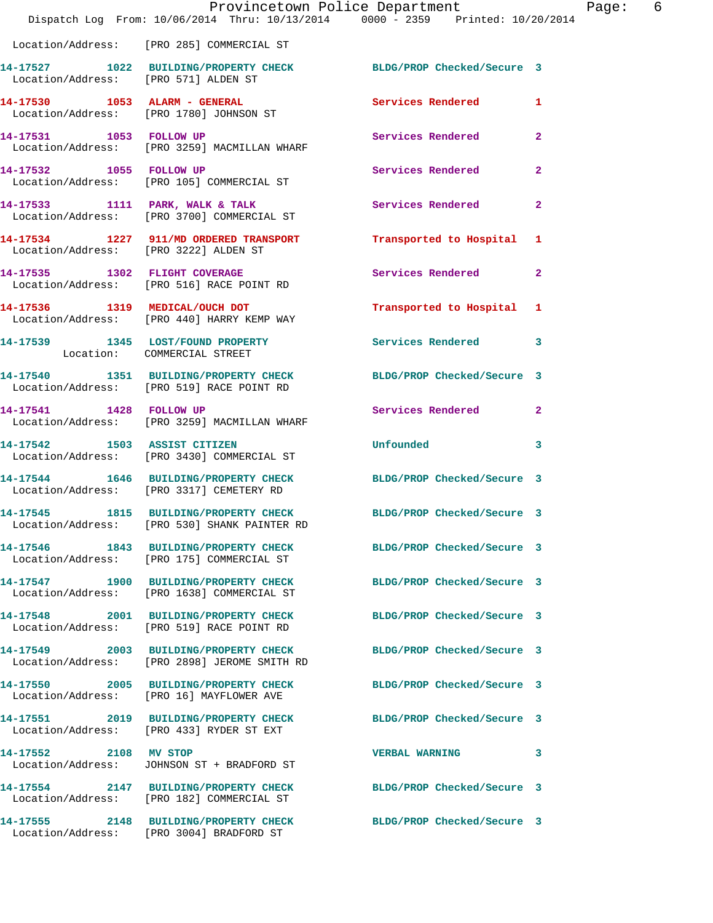|                                      | Provincetown Police Department<br>Dispatch Log From: 10/06/2014 Thru: 10/13/2014 0000 - 2359 Printed: 10/20/2014 |                            | Page: 6      |
|--------------------------------------|------------------------------------------------------------------------------------------------------------------|----------------------------|--------------|
|                                      | Location/Address: [PRO 285] COMMERCIAL ST                                                                        |                            |              |
| Location/Address: [PRO 571] ALDEN ST | 14-17527 1022 BUILDING/PROPERTY CHECK BLDG/PROP Checked/Secure 3                                                 |                            |              |
|                                      | 14-17530 1053 ALARM - GENERAL<br>Location/Address: [PRO 1780] JOHNSON ST                                         | Services Rendered 1        |              |
|                                      | 14-17531 1053 FOLLOW UP<br>Location/Address: [PRO 3259] MACMILLAN WHARF                                          | Services Rendered          | $\mathbf{2}$ |
| 14-17532 1055 FOLLOW UP              | Location/Address: [PRO 105] COMMERCIAL ST                                                                        | Services Rendered          | $\mathbf{2}$ |
|                                      |                                                                                                                  | Services Rendered          | $\mathbf{2}$ |
|                                      | 14-17534 1227 911/MD ORDERED TRANSPORT Transported to Hospital 1<br>Location/Address: [PRO 3222] ALDEN ST        |                            |              |
|                                      | 14-17535 1302 FLIGHT COVERAGE<br>Location/Address: [PRO 516] RACE POINT RD                                       | Services Rendered          | $\mathbf{2}$ |
|                                      | 14-17536 1319 MEDICAL/OUCH DOT<br>Location/Address: [PRO 440] HARRY KEMP WAY                                     | Transported to Hospital 1  |              |
| Location: COMMERCIAL STREET          | 14-17539 1345 LOST/FOUND PROPERTY Services Rendered 3                                                            |                            |              |
|                                      | 14-17540 1351 BUILDING/PROPERTY CHECK<br>Location/Address: [PRO 519] RACE POINT RD                               | BLDG/PROP Checked/Secure 3 |              |
| 14-17541 1428 FOLLOW UP              | Location/Address: [PRO 3259] MACMILLAN WHARF                                                                     | Services Rendered 2        |              |
|                                      | 14-17542 1503 ASSIST CITIZEN<br>Location/Address: [PRO 3430] COMMERCIAL ST                                       | <b>Unfounded</b>           | 3            |
|                                      | 14-17544 1646 BUILDING/PROPERTY CHECK BLDG/PROP Checked/Secure 3<br>Location/Address: [PRO 3317] CEMETERY RD     |                            |              |
|                                      | 14-17545 1815 BUILDING/PROPERTY CHECK<br>Location/Address: [PRO 530] SHANK PAINTER RD                            | BLDG/PROP Checked/Secure 3 |              |
|                                      | 14-17546 1843 BUILDING/PROPERTY CHECK<br>Location/Address: [PRO 175] COMMERCIAL ST                               | BLDG/PROP Checked/Secure 3 |              |
|                                      | 14-17547 1900 BUILDING/PROPERTY CHECK BLDG/PROP Checked/Secure 3<br>Location/Address: [PRO 1638] COMMERCIAL ST   |                            |              |
|                                      | 14-17548 2001 BUILDING/PROPERTY CHECK<br>Location/Address: [PRO 519] RACE POINT RD                               | BLDG/PROP Checked/Secure 3 |              |
|                                      | 14-17549 2003 BUILDING/PROPERTY CHECK<br>Location/Address: [PRO 2898] JEROME SMITH RD                            | BLDG/PROP Checked/Secure 3 |              |
|                                      | 14-17550 2005 BUILDING/PROPERTY CHECK<br>Location/Address: [PRO 16] MAYFLOWER AVE                                | BLDG/PROP Checked/Secure 3 |              |
|                                      | 14-17551 2019 BUILDING/PROPERTY CHECK BLDG/PROP Checked/Secure 3<br>Location/Address: [PRO 433] RYDER ST EXT     |                            |              |
| 14-17552 2108 MV STOP                | Location/Address: JOHNSON ST + BRADFORD ST                                                                       | <b>VERBAL WARNING</b>      | 3            |
|                                      | 14-17554 2147 BUILDING/PROPERTY CHECK BLDG/PROP Checked/Secure 3<br>Location/Address: [PRO 182] COMMERCIAL ST    |                            |              |
|                                      | 14-17555 2148 BUILDING/PROPERTY CHECK BLDG/PROP Checked/Secure 3<br>Location/Address: [PRO 3004] BRADFORD ST     |                            |              |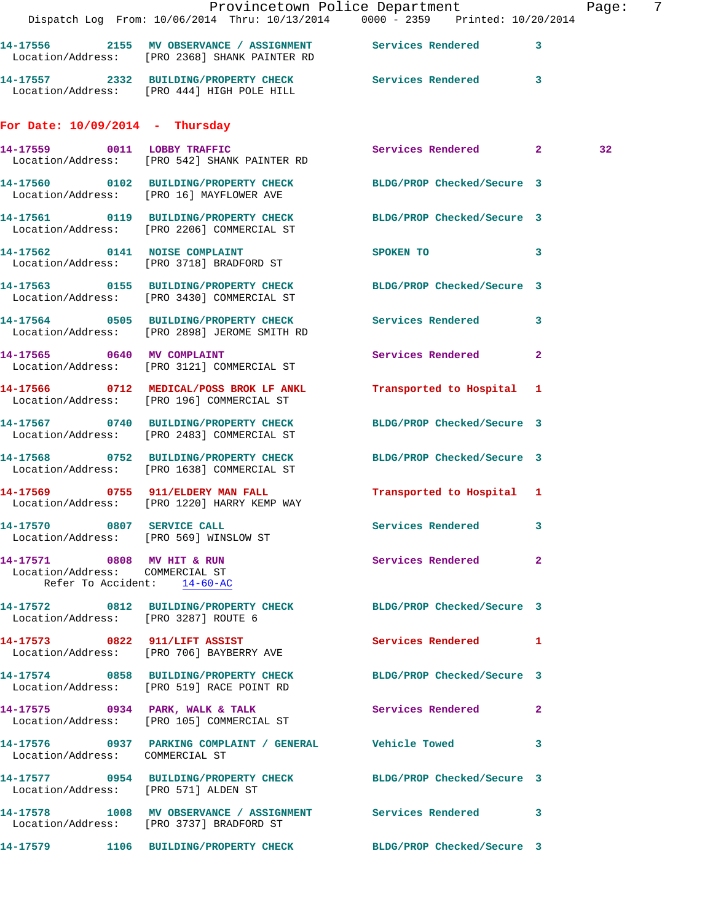|                                                                                              | Dispatch Log From: 10/06/2014 Thru: 10/13/2014 0000 - 2359 Printed: 10/20/2014                                 | Provincetown Police Department | Page: 7      |
|----------------------------------------------------------------------------------------------|----------------------------------------------------------------------------------------------------------------|--------------------------------|--------------|
|                                                                                              | 14-17556 2155 MV OBSERVANCE / ASSIGNMENT Services Rendered 3<br>Location/Address: [PRO 2368] SHANK PAINTER RD  |                                |              |
|                                                                                              | 14-17557 2332 BUILDING/PROPERTY CHECK Services Rendered 3<br>Location/Address: [PRO 444] HIGH POLE HILL        |                                |              |
| For Date: $10/09/2014$ - Thursday                                                            |                                                                                                                |                                |              |
|                                                                                              | 14-17559 0011 LOBBY TRAFFIC<br>Location/Address: [PRO 542] SHANK PAINTER RD                                    | Services Rendered 2            | 32           |
|                                                                                              | 14-17560 0102 BUILDING/PROPERTY CHECK BLDG/PROP Checked/Secure 3<br>Location/Address: [PRO 16] MAYFLOWER AVE   |                                |              |
|                                                                                              | 14-17561 0119 BUILDING/PROPERTY CHECK BLDG/PROP Checked/Secure 3<br>Location/Address: [PRO 2206] COMMERCIAL ST |                                |              |
|                                                                                              | 14-17562 0141 NOISE COMPLAINT<br>Location/Address: [PRO 3718] BRADFORD ST                                      | SPOKEN TO                      | 3            |
|                                                                                              | 14-17563 0155 BUILDING/PROPERTY CHECK BLDG/PROP Checked/Secure 3<br>Location/Address: [PRO 3430] COMMERCIAL ST |                                |              |
|                                                                                              | 14-17564 0505 BUILDING/PROPERTY CHECK Services Rendered 3<br>Location/Address: [PRO 2898] JEROME SMITH RD      |                                |              |
|                                                                                              | 14-17565 0640 MV COMPLAINT<br>Location/Address: [PRO 3121] COMMERCIAL ST                                       | Services Rendered              | $\mathbf{2}$ |
|                                                                                              | 14-17566 0712 MEDICAL/POSS BROK LF ANKL<br>Location/Address: [PRO 196] COMMERCIAL ST                           | Transported to Hospital 1      |              |
|                                                                                              | 14-17567 0740 BUILDING/PROPERTY CHECK<br>Location/Address: [PRO 2483] COMMERCIAL ST                            | BLDG/PROP Checked/Secure 3     |              |
|                                                                                              | 14-17568 0752 BUILDING/PROPERTY CHECK BLDG/PROP Checked/Secure 3<br>Location/Address: [PRO 1638] COMMERCIAL ST |                                |              |
|                                                                                              | 14-17569 0755 911/ELDERY MAN FALL<br>Location/Address: [PRO 1220] HARRY KEMP WAY                               | Transported to Hospital 1      |              |
| Location/Address: [PRO 569] WINSLOW ST                                                       | 14-17570 0807 SERVICE CALL                                                                                     | <b>Services Rendered</b>       | 3            |
| 14-17571 0808 MV HIT & RUN<br>Location/Address: COMMERCIAL ST<br>Refer To Accident: 14-60-AC |                                                                                                                | Services Rendered 2            |              |
| Location/Address: [PRO 3287] ROUTE 6                                                         | 14-17572 0812 BUILDING/PROPERTY CHECK BLDG/PROP Checked/Secure 3                                               |                                |              |
|                                                                                              | 14-17573 0822 911/LIFT ASSIST<br>Location/Address: [PRO 706] BAYBERRY AVE                                      | Services Rendered 1            |              |
|                                                                                              | 14-17574 0858 BUILDING/PROPERTY CHECK<br>Location/Address: [PRO 519] RACE POINT RD                             | BLDG/PROP Checked/Secure 3     |              |
|                                                                                              | 14-17575 0934 PARK, WALK & TALK<br>Location/Address: [PRO 105] COMMERCIAL ST                                   | <b>Services Rendered</b> 2     |              |
| Location/Address: COMMERCIAL ST                                                              | 14-17576 0937 PARKING COMPLAINT / GENERAL Vehicle Towed 3                                                      |                                |              |
| Location/Address: [PRO 571] ALDEN ST                                                         | 14-17577 0954 BUILDING/PROPERTY CHECK BLDG/PROP Checked/Secure 3                                               |                                |              |
|                                                                                              | 14-17578 1008 MV OBSERVANCE / ASSIGNMENT Services Rendered 3<br>Location/Address: [PRO 3737] BRADFORD ST       |                                |              |
|                                                                                              |                                                                                                                | BLDG/PROP Checked/Secure 3     |              |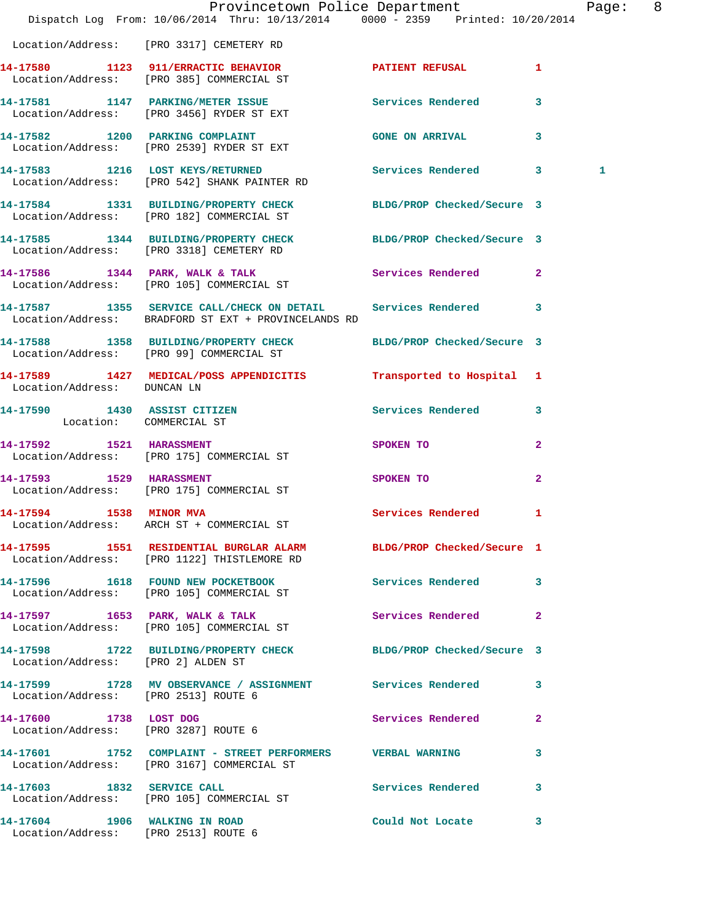|                                                                | Dispatch Log From: 10/06/2014 Thru: 10/13/2014 0000 - 2359 Printed: 10/20/2014                                         | Provincetown Police Department |              | Page: 8 |  |
|----------------------------------------------------------------|------------------------------------------------------------------------------------------------------------------------|--------------------------------|--------------|---------|--|
|                                                                | Location/Address: [PRO 3317] CEMETERY RD                                                                               |                                |              |         |  |
|                                                                | 14-17580 1123 911/ERRACTIC BEHAVIOR PATIENT REFUSAL 1<br>Location/Address: [PRO 385] COMMERCIAL ST                     |                                |              |         |  |
|                                                                | 14-17581 1147 PARKING/METER ISSUE 1997 Services Rendered 3<br>Location/Address: [PRO 3456] RYDER ST EXT                |                                |              |         |  |
|                                                                | 14-17582 1200 PARKING COMPLAINT CONSTRUCTED GONE ON ARRIVAL<br>Location/Address: [PRO 2539] RYDER ST EXT               |                                |              |         |  |
|                                                                | 14-17583 1216 LOST KEYS/RETURNED Services Rendered 3<br>Location/Address: [PRO 542] SHANK PAINTER RD                   |                                |              | 1       |  |
|                                                                | 14-17584 1331 BUILDING/PROPERTY CHECK BLDG/PROP Checked/Secure 3<br>Location/Address: [PRO 182] COMMERCIAL ST          |                                |              |         |  |
|                                                                | 14-17585 1344 BUILDING/PROPERTY CHECK BLDG/PROP Checked/Secure 3<br>Location/Address: [PRO 3318] CEMETERY RD           |                                |              |         |  |
|                                                                | 14-17586 1344 PARK, WALK & TALK<br>Location/Address: [PRO 105] COMMERCIAL ST                                           | Services Rendered 2            |              |         |  |
|                                                                | 14-17587 1355 SERVICE CALL/CHECK ON DETAIL Services Rendered 3<br>Location/Address: BRADFORD ST EXT + PROVINCELANDS RD |                                |              |         |  |
|                                                                | 14-17588 1358 BUILDING/PROPERTY CHECK BLDG/PROP Checked/Secure 3<br>Location/Address: [PRO 99] COMMERCIAL ST           |                                |              |         |  |
| Location/Address: DUNCAN LN                                    | 14-17589 1427 MEDICAL/POSS APPENDICITIS Transported to Hospital 1                                                      |                                |              |         |  |
| Location: COMMERCIAL ST                                        | 14-17590 1430 ASSIST CITIZEN                                                                                           | Services Rendered 3            |              |         |  |
|                                                                | 14-17592 1521 HARASSMENT<br>Location/Address: [PRO 175] COMMERCIAL ST                                                  | SPOKEN TO                      | $\mathbf{2}$ |         |  |
| 14-17593 1529 HARASSMENT                                       | Location/Address: [PRO 175] COMMERCIAL ST                                                                              | SPOKEN TO                      | $\mathbf{2}$ |         |  |
| 14-17594 1538 MINOR MVA                                        | Location/Address: ARCH ST + COMMERCIAL ST                                                                              | Services Rendered 1            |              |         |  |
|                                                                | 14-17595 1551 RESIDENTIAL BURGLAR ALARM BLDG/PROP Checked/Secure 1<br>Location/Address: [PRO 1122] THISTLEMORE RD      |                                |              |         |  |
|                                                                | 14-17596 1618 FOUND NEW POCKETBOOK<br>Location/Address: [PRO 105] COMMERCIAL ST                                        | Services Rendered 3            |              |         |  |
|                                                                | 14-17597 1653 PARK, WALK & TALK<br>Location/Address: [PRO 105] COMMERCIAL ST                                           | Services Rendered              | $\mathbf{2}$ |         |  |
| Location/Address: [PRO 2] ALDEN ST                             | 14-17598 1722 BUILDING/PROPERTY CHECK BLDG/PROP Checked/Secure 3                                                       |                                |              |         |  |
| Location/Address: [PRO 2513] ROUTE 6                           | 14-17599 1728 MV OBSERVANCE / ASSIGNMENT Services Rendered 3                                                           |                                |              |         |  |
| 14-17600 1738 LOST DOG<br>Location/Address: [PRO 3287] ROUTE 6 |                                                                                                                        | <b>Services Rendered</b>       | $\mathbf{2}$ |         |  |
|                                                                | 14-17601 1752 COMPLAINT - STREET PERFORMERS VERBAL WARNING<br>Location/Address: [PRO 3167] COMMERCIAL ST               |                                | 3            |         |  |
|                                                                | 14-17603 1832 SERVICE CALL<br>Location/Address: [PRO 105] COMMERCIAL ST                                                | Services Rendered 3            |              |         |  |
| Location/Address: [PRO 2513] ROUTE 6                           | 14-17604 1906 WALKING IN ROAD                                                                                          | Could Not Locate 3             |              |         |  |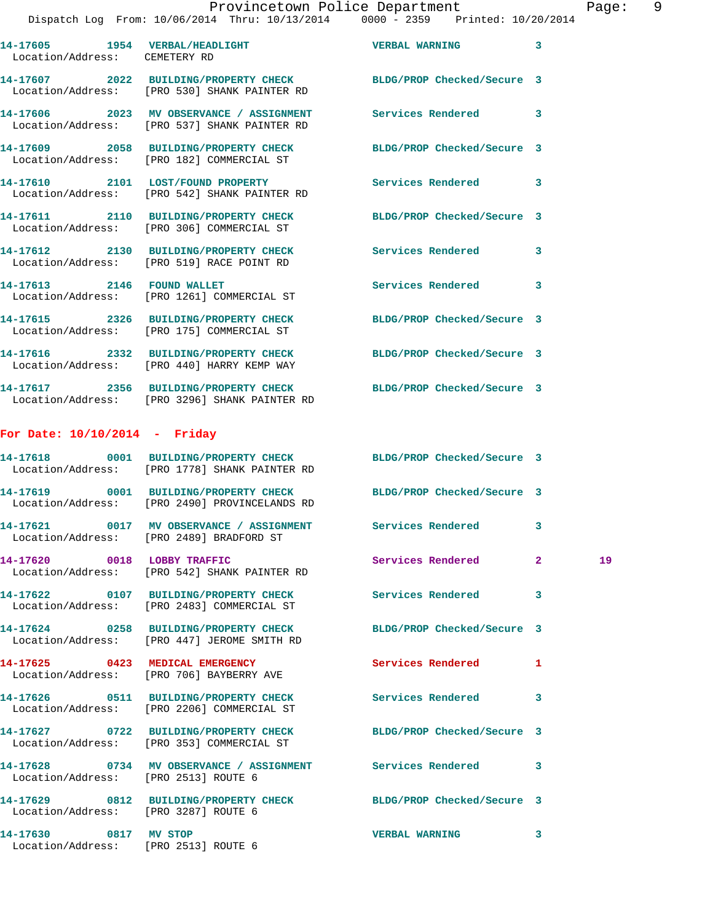## Provincetown Police Department Page: 9

Dispatch Log From: 10/06/2014 Thru: 10/13/2014 0000 - 2359 Printed: 10/20/2014

| 14-17605<br>1954<br>Location/Address: | <b>VERBAL/HEADLIGHT</b><br>CEMETERY RD                       | <b>VERBAL WARNING</b>      | 3 |
|---------------------------------------|--------------------------------------------------------------|----------------------------|---|
| 14-17607<br>2022<br>Location/Address: | <b>BUILDING/PROPERTY CHECK</b><br>[PRO 530] SHANK PAINTER RD | BLDG/PROP Checked/Secure 3 |   |
| 14-17606<br>2023<br>Location/Address: | MV OBSERVANCE / ASSIGNMENT<br>[PRO 537] SHANK PAINTER RD     | Services Rendered          |   |
| 14-17609<br>2058<br>Location/Address: | <b>BUILDING/PROPERTY CHECK</b><br>[PRO 182] COMMERCIAL ST    | BLDG/PROP Checked/Secure 3 |   |
| 14-17610<br>2101                      | LOST/FOUND PROPERTY                                          | Services Rendered          |   |

Location/Address: [PRO 542] SHANK PAINTER RD

**14-17611 2110 BUILDING/PROPERTY CHECK BLDG/PROP Checked/Secure 3**  Location/Address: [PRO 306] COMMERCIAL ST

**14-17612 2130 BUILDING/PROPERTY CHECK Services Rendered 3**  Location/Address: [PRO 519] RACE POINT RD

**14-17613 2146 FOUND WALLET Services Rendered 3**  Location/Address: [PRO 1261] COMMERCIAL ST

**14-17615 2326 BUILDING/PROPERTY CHECK BLDG/PROP Checked/Secure 3**  Location/Address: [PRO 175] COMMERCIAL ST

**14-17616 2332 BUILDING/PROPERTY CHECK BLDG/PROP Checked/Secure 3**  Location/Address: [PRO 440] HARRY KEMP WAY

**14-17617 2356 BUILDING/PROPERTY CHECK BLDG/PROP Checked/Secure 3**  Location/Address: [PRO 3296] SHANK PAINTER RD

## **For Date: 10/10/2014 - Friday**

|                                      | 14-17618 0001 BUILDING/PROPERTY CHECK BLDG/PROP Checked/Secure 3<br>Location/Address: [PRO 1778] SHANK PAINTER RD |                          |                         |    |
|--------------------------------------|-------------------------------------------------------------------------------------------------------------------|--------------------------|-------------------------|----|
|                                      | 14-17619 0001 BUILDING/PROPERTY CHECK BLDG/PROP Checked/Secure 3<br>Location/Address: [PRO 2490] PROVINCELANDS RD |                          |                         |    |
|                                      | Location/Address: [PRO 2489] BRADFORD ST                                                                          |                          | $\overline{\mathbf{3}}$ |    |
|                                      | 14-17620 0018 LOBBY TRAFFIC<br>Location/Address: [PRO 542] SHANK PAINTER RD                                       | Services Rendered        | $\overline{2}$          | 19 |
|                                      | 14-17622 0107 BUILDING/PROPERTY CHECK Services Rendered<br>Location/Address: [PRO 2483] COMMERCIAL ST             |                          | $\overline{\mathbf{3}}$ |    |
|                                      | 14-17624 0258 BUILDING/PROPERTY CHECK BLDG/PROP Checked/Secure 3<br>Location/Address: [PRO 447] JEROME SMITH RD   |                          |                         |    |
|                                      | 14-17625 0423 MEDICAL EMERGENCY<br>Location/Address: [PRO 706] BAYBERRY AVE                                       | <b>Services Rendered</b> | $\mathbf{1}$            |    |
|                                      | Location/Address: [PRO 2206] COMMERCIAL ST                                                                        |                          | 3                       |    |
|                                      | 14-17627 0722 BUILDING/PROPERTY CHECK BLDG/PROP Checked/Secure 3<br>Location/Address: [PRO 353] COMMERCIAL ST     |                          |                         |    |
|                                      |                                                                                                                   |                          |                         |    |
| Location/Address: [PRO 2513] ROUTE 6 | 14-17628 0734 MV OBSERVANCE / ASSIGNMENT Services Rendered 3                                                      |                          |                         |    |
| Location/Address: [PRO 3287] ROUTE 6 | 14-17629 0812 BUILDING/PROPERTY CHECK BLDG/PROP Checked/Secure 3                                                  |                          |                         |    |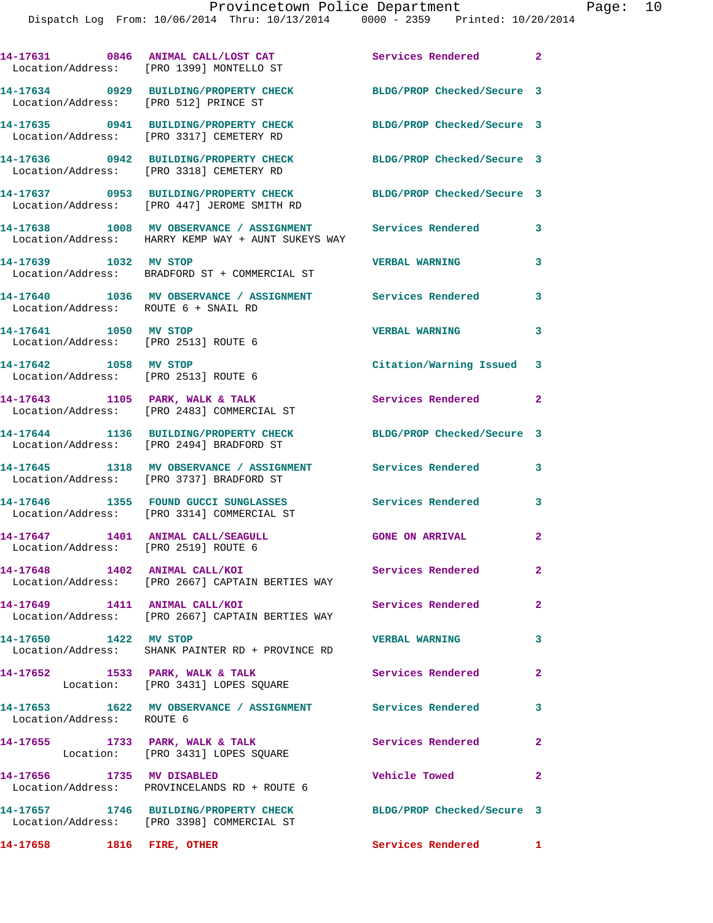|                                                                           | 14-17631 0846 ANIMAL CALL/LOST CAT<br>Location/Address: [PRO 1399] MONTELLO ST                                   | Services Rendered 2        |                         |
|---------------------------------------------------------------------------|------------------------------------------------------------------------------------------------------------------|----------------------------|-------------------------|
| Location/Address: [PRO 512] PRINCE ST                                     | 14-17634 0929 BUILDING/PROPERTY CHECK                                                                            | BLDG/PROP Checked/Secure 3 |                         |
|                                                                           | 14-17635 0941 BUILDING/PROPERTY CHECK<br>Location/Address: [PRO 3317] CEMETERY RD                                | BLDG/PROP Checked/Secure 3 |                         |
|                                                                           | 14-17636 0942 BUILDING/PROPERTY CHECK<br>Location/Address: [PRO 3318] CEMETERY RD                                | BLDG/PROP Checked/Secure 3 |                         |
|                                                                           | 14-17637 0953 BUILDING/PROPERTY CHECK<br>Location/Address: [PRO 447] JEROME SMITH RD                             | BLDG/PROP Checked/Secure 3 |                         |
|                                                                           | 14-17638 1008 MV OBSERVANCE / ASSIGNMENT Services Rendered<br>Location/Address: HARRY KEMP WAY + AUNT SUKEYS WAY |                            | $\mathbf{3}$            |
| 14-17639 1032 MV STOP                                                     | Location/Address: BRADFORD ST + COMMERCIAL ST                                                                    | <b>VERBAL WARNING</b>      | 3                       |
| Location/Address: ROUTE 6 + SNAIL RD                                      | 14-17640 1036 MV OBSERVANCE / ASSIGNMENT Services Rendered                                                       |                            | 3                       |
| 14-17641 1050 MV STOP<br>Location/Address: [PRO 2513] ROUTE 6             |                                                                                                                  | <b>VERBAL WARNING</b>      | 3                       |
| 14-17642 1058 MV STOP<br>Location/Address: [PRO 2513] ROUTE 6             |                                                                                                                  | Citation/Warning Issued 3  |                         |
|                                                                           | 14-17643 1105 PARK, WALK & TALK<br>Location/Address: [PRO 2483] COMMERCIAL ST                                    | Services Rendered          | $\overline{2}$          |
|                                                                           | 14-17644 1136 BUILDING/PROPERTY CHECK<br>Location/Address: [PRO 2494] BRADFORD ST                                | BLDG/PROP Checked/Secure 3 |                         |
|                                                                           | 14-17645 1318 MV OBSERVANCE / ASSIGNMENT<br>Location/Address: [PRO 3737] BRADFORD ST                             | <b>Services Rendered</b>   | 3                       |
|                                                                           | 14-17646 1355 FOUND GUCCI SUNGLASSES<br>Location/Address: [PRO 3314] COMMERCIAL ST                               | <b>Services Rendered</b>   | 3                       |
| 14-17647 1401 ANIMAL CALL/SEAGULL<br>Location/Address: [PRO 2519] ROUTE 6 |                                                                                                                  | <b>GONE ON ARRIVAL</b>     | $\overline{a}$          |
| 14-17648 1402 ANIMAL CALL/KOI                                             | Location/Address: [PRO 2667] CAPTAIN BERTIES WAY                                                                 | Services Rendered          | $\mathbf{2}^-$          |
| 14-17649 1411 ANIMAL CALL/KOI                                             | Location/Address: [PRO 2667] CAPTAIN BERTIES WAY                                                                 | <b>Services Rendered</b>   | $\mathbf{2}$            |
| 14-17650 1422 MV STOP                                                     | Location/Address: SHANK PAINTER RD + PROVINCE RD                                                                 | <b>VERBAL WARNING</b>      | $\mathbf{3}$            |
|                                                                           | 14-17652 1533 PARK, WALK & TALK<br>Location: [PRO 3431] LOPES SQUARE                                             | Services Rendered          | $\overline{2}$          |
| Location/Address: ROUTE 6                                                 | 14-17653 1622 MV OBSERVANCE / ASSIGNMENT Services Rendered                                                       |                            | $\overline{\mathbf{3}}$ |
|                                                                           | 14-17655 1733 PARK, WALK & TALK<br>Location: [PRO 3431] LOPES SQUARE                                             | Services Rendered          | $\overline{2}$          |
| 14-17656 1735 MV DISABLED                                                 | Location/Address: PROVINCELANDS RD + ROUTE 6                                                                     | Vehicle Towed              | $\overline{a}$          |
|                                                                           | 14-17657 1746 BUILDING/PROPERTY CHECK<br>Location/Address: [PRO 3398] COMMERCIAL ST                              | BLDG/PROP Checked/Secure 3 |                         |
|                                                                           |                                                                                                                  |                            |                         |

**14-17658 1816 FIRE, OTHER Services Rendered 1**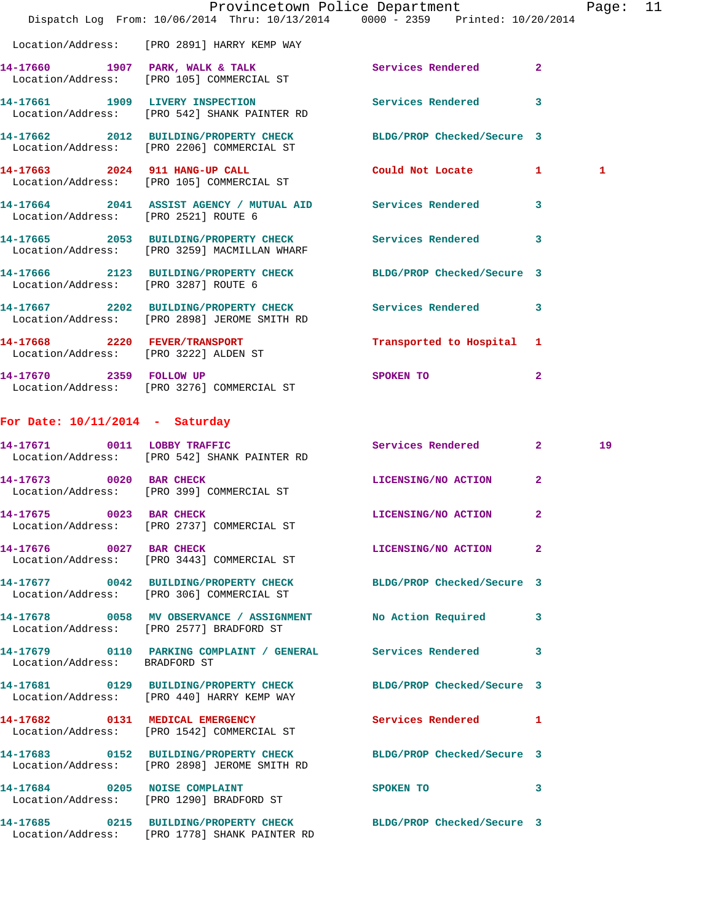|                                      | Dispatch Log From: 10/06/2014 Thru: 10/13/2014 0000 - 2359 Printed: 10/20/2014                                   | Provincetown Police Department Page: 11 |                |  |
|--------------------------------------|------------------------------------------------------------------------------------------------------------------|-----------------------------------------|----------------|--|
|                                      | Location/Address: [PRO 2891] HARRY KEMP WAY                                                                      |                                         |                |  |
|                                      | 14-17660 1907 PARK, WALK & TALK<br>Location/Address: [PRO 105] COMMERCIAL ST                                     | Services Rendered                       | $\overline{2}$ |  |
|                                      | 14-17661 1909 LIVERY INSPECTION<br>Location/Address: [PRO 542] SHANK PAINTER RD                                  | Services Rendered 3                     |                |  |
|                                      | 14-17662 2012 BUILDING/PROPERTY CHECK BLDG/PROP Checked/Secure 3<br>Location/Address: [PRO 2206] COMMERCIAL ST   |                                         |                |  |
|                                      | 14-17663 2024 911 HANG-UP CALL<br>Location/Address: [PRO 105] COMMERCIAL ST                                      | Could Not Locate 1                      | 1              |  |
| Location/Address: [PRO 2521] ROUTE 6 | 14-17664 2041 ASSIST AGENCY / MUTUAL AID Services Rendered 3                                                     |                                         |                |  |
|                                      | 14-17665 2053 BUILDING/PROPERTY CHECK Services Rendered<br>Location/Address: [PRO 3259] MACMILLAN WHARF          |                                         | 3              |  |
| Location/Address: [PRO 3287] ROUTE 6 | 14-17666 2123 BUILDING/PROPERTY CHECK BLDG/PROP Checked/Secure 3                                                 |                                         |                |  |
|                                      | 14-17667 2202 BUILDING/PROPERTY CHECK Services Rendered<br>Location/Address: [PRO 2898] JEROME SMITH RD          |                                         | 3              |  |
|                                      | 14-17668 2220 FEVER/TRANSPORT<br>Location/Address: [PRO 3222] ALDEN ST                                           | Transported to Hospital 1               |                |  |
|                                      | 14-17670 2359 FOLLOW UP<br>Location/Address: [PRO 3276] COMMERCIAL ST                                            | SPOKEN TO                               | $\mathbf{2}$   |  |
| For Date: $10/11/2014$ - Saturday    |                                                                                                                  |                                         |                |  |
|                                      | 14-17671 0011 LOBBY TRAFFIC<br>Location/Address: [PRO 542] SHANK PAINTER RD                                      | Services Rendered 2                     | 19             |  |
| 14-17673 0020 BAR CHECK              | Location/Address: [PRO 399] COMMERCIAL ST                                                                        | LICENSING/NO ACTION                     | $\mathbf{2}$   |  |
| 14-17675 0023 BAR CHECK              | Location/Address: [PRO 2737] COMMERCIAL ST                                                                       | LICENSING/NO ACTION 2                   |                |  |
| 14-17676 0027 BAR CHECK              | Location/Address: [PRO 3443] COMMERCIAL ST                                                                       | LICENSING/NO ACTION                     | $\mathbf{2}$   |  |
|                                      | 14-17677 0042 BUILDING/PROPERTY CHECK BLDG/PROP Checked/Secure 3<br>Location/Address: [PRO 306] COMMERCIAL ST    |                                         |                |  |
|                                      | 14-17678 0058 MV OBSERVANCE / ASSIGNMENT<br>Location/Address: [PRO 2577] BRADFORD ST                             | No Action Required 3                    |                |  |
| Location/Address: BRADFORD ST        | 14-17679 0110 PARKING COMPLAINT / GENERAL Services Rendered                                                      |                                         | 3              |  |
|                                      | 14-17681 0129 BUILDING/PROPERTY CHECK BLDG/PROP Checked/Secure 3<br>Location/Address: [PRO 440] HARRY KEMP WAY   |                                         |                |  |
|                                      | 14-17682 0131 MEDICAL EMERGENCY<br>Location/Address: [PRO 1542] COMMERCIAL ST                                    | Services Rendered 1                     |                |  |
|                                      | 14-17683 0152 BUILDING/PROPERTY CHECK BLDG/PROP Checked/Secure 3<br>Location/Address: [PRO 2898] JEROME SMITH RD |                                         |                |  |
|                                      | 14-17684 0205 NOISE COMPLAINT<br>Location/Address: [PRO 1290] BRADFORD ST                                        | SPOKEN TO                               | 3              |  |
|                                      | 14-17685 0215 BUILDING/PROPERTY CHECK<br>Location/Address: [PRO 1778] SHANK PAINTER RD                           | BLDG/PROP Checked/Secure 3              |                |  |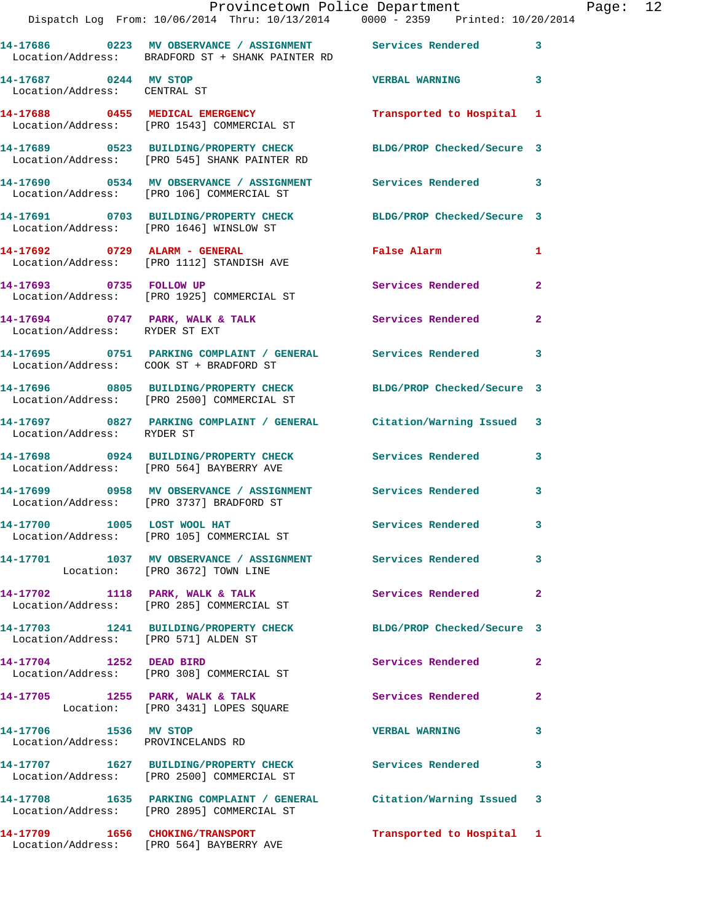|                                                       | Dispatch Log From: 10/06/2014 Thru: 10/13/2014 0000 - 2359 Printed: 10/20/2014                                             | Provincetown Police Department Page: 12   |                |  |
|-------------------------------------------------------|----------------------------------------------------------------------------------------------------------------------------|-------------------------------------------|----------------|--|
|                                                       | 14-17686 0223 MV OBSERVANCE / ASSIGNMENT Services Rendered 3<br>Location/Address: BRADFORD ST + SHANK PAINTER RD           |                                           |                |  |
| 14-17687 0244 MV STOP<br>Location/Address: CENTRAL ST |                                                                                                                            | <b>VERBAL WARNING</b> 3                   |                |  |
|                                                       | 14-17688     0455   MEDICAL EMERGENCY           Transported to Hospital   1<br>Location/Address:   [PRO 1543]COMMERCIAL ST |                                           |                |  |
|                                                       | 14-17689 0523 BUILDING/PROPERTY CHECK BLDG/PROP Checked/Secure 3<br>Location/Address: [PRO 545] SHANK PAINTER RD           |                                           |                |  |
|                                                       | 14-17690 0534 MV OBSERVANCE / ASSIGNMENT Services Rendered 3<br>Location/Address: [PRO 106] COMMERCIAL ST                  |                                           |                |  |
|                                                       | 14-17691 0703 BUILDING/PROPERTY CHECK BLDG/PROP Checked/Secure 3<br>Location/Address: [PRO 1646] WINSLOW ST                |                                           |                |  |
|                                                       | 14-17692 0729 ALARM - GENERAL<br>Location/Address: [PRO 1112] STANDISH AVE                                                 | False Alarm <b>Francisco Execute 1986</b> | 1              |  |
|                                                       | 14-17693 0735 FOLLOW UP<br>Location/Address: [PRO 1925] COMMERCIAL ST                                                      | Services Rendered                         | $\mathbf{2}$   |  |
| Location/Address: RYDER ST EXT                        | 14-17694 0747 PARK, WALK & TALK Services Rendered                                                                          |                                           | $\overline{2}$ |  |
|                                                       | 14-17695 0751 PARKING COMPLAINT / GENERAL Services Rendered<br>Location/Address: COOK ST + BRADFORD ST                     |                                           | 3              |  |
|                                                       | 14-17696 0805 BUILDING/PROPERTY CHECK BLDG/PROP Checked/Secure 3<br>Location/Address: [PRO 2500] COMMERCIAL ST             |                                           |                |  |
| Location/Address: RYDER ST                            | 14-17697 0827 PARKING COMPLAINT / GENERAL Citation/Warning Issued 3                                                        |                                           |                |  |
|                                                       | 14-17698 0924 BUILDING/PROPERTY CHECK Services Rendered 3<br>Location/Address: [PRO 564] BAYBERRY AVE                      |                                           |                |  |
|                                                       | 14-17699 0958 MV OBSERVANCE / ASSIGNMENT Services Rendered 3<br>Location/Address: [PRO 3737] BRADFORD ST                   |                                           |                |  |
|                                                       | 14-17700 1005 LOST WOOL HAT<br>Location/Address: [PRO 105] COMMERCIAL ST                                                   | <b>Services Rendered</b>                  |                |  |
|                                                       | 14-17701 1037 MV OBSERVANCE / ASSIGNMENT Services Rendered<br>Location: [PRO 3672] TOWN LINE                               |                                           | 3              |  |
|                                                       | 14-17702 1118 PARK, WALK & TALK<br>Location/Address: [PRO 285] COMMERCIAL ST                                               | Services Rendered                         | $\mathbf{2}$   |  |
| Location/Address: [PRO 571] ALDEN ST                  | 14-17703 1241 BUILDING/PROPERTY CHECK BLDG/PROP Checked/Secure 3                                                           |                                           |                |  |
|                                                       | 14-17704 1252 DEAD BIRD<br>Location/Address: [PRO 308] COMMERCIAL ST                                                       | Services Rendered                         | $\mathbf{2}$   |  |
|                                                       | 14-17705 1255 PARK, WALK & TALK<br>Location: [PRO 3431] LOPES SQUARE                                                       | Services Rendered                         | $\mathbf{2}$   |  |
| 14-17706 1536 MV STOP                                 | Location/Address: PROVINCELANDS RD                                                                                         | <b>VERBAL WARNING</b>                     | 3              |  |
|                                                       | 14-17707 1627 BUILDING/PROPERTY CHECK Services Rendered<br>Location/Address: [PRO 2500] COMMERCIAL ST                      |                                           | 3              |  |
|                                                       | 14-17708 1635 PARKING COMPLAINT / GENERAL Citation/Warning Issued 3<br>Location/Address: [PRO 2895] COMMERCIAL ST          |                                           |                |  |
|                                                       | 14-17709 1656 CHOKING/TRANSPORT<br>Location/Address: [PRO 564] BAYBERRY AVE                                                | Transported to Hospital 1                 |                |  |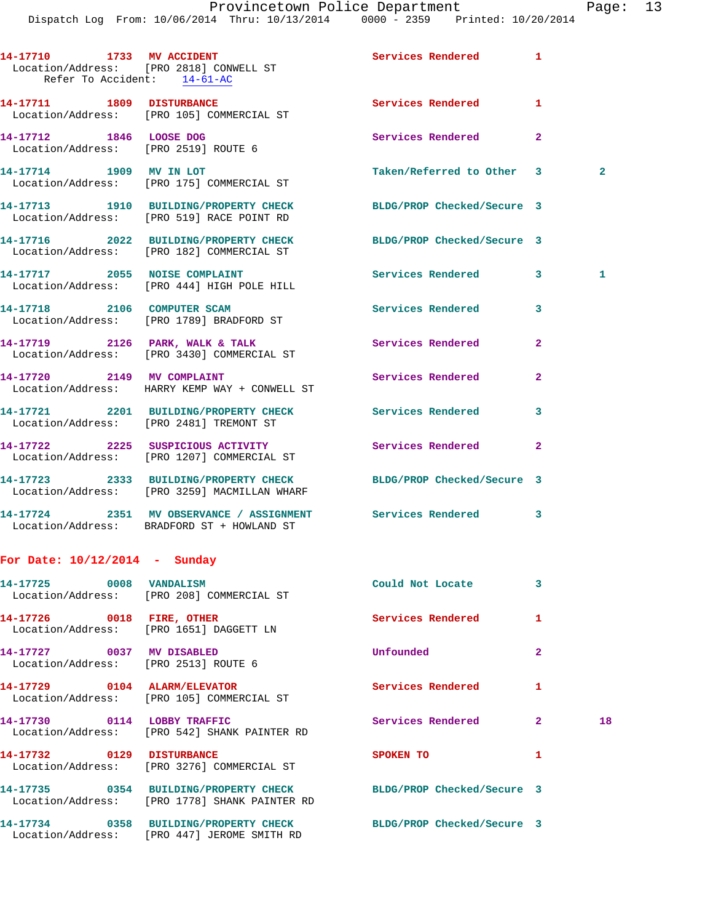|                                 | Dispatch Log From: 10/06/2014 Thru: 10/13/2014 0000 - 2359 Printed: 10/20/2014                             |                            |                |              |
|---------------------------------|------------------------------------------------------------------------------------------------------------|----------------------------|----------------|--------------|
|                                 | 14-17710 1733 MV ACCIDENT<br>Location/Address: [PRO 2818] CONWELL ST<br>Refer To Accident: 14-61-AC        | Services Rendered 1        |                |              |
|                                 | 14-17711 1809 DISTURBANCE<br>Location/Address: [PRO 105] COMMERCIAL ST                                     | <b>Services Rendered</b>   | 1              |              |
| 14-17712 1846 LOOSE DOG         | Location/Address: [PRO 2519] ROUTE 6                                                                       | Services Rendered 2        |                |              |
|                                 | 14-17714 1909 MV IN LOT<br>Location/Address: [PRO 175] COMMERCIAL ST                                       | Taken/Referred to Other 3  |                | $\mathbf{2}$ |
|                                 | 14-17713 1910 BUILDING/PROPERTY CHECK<br>Location/Address: [PRO 519] RACE POINT RD                         | BLDG/PROP Checked/Secure 3 |                |              |
|                                 | 14-17716 2022 BUILDING/PROPERTY CHECK<br>Location/Address: [PRO 182] COMMERCIAL ST                         | BLDG/PROP Checked/Secure 3 |                |              |
|                                 | 14-17717 2055 NOISE COMPLAINT<br>Location/Address: [PRO 444] HIGH POLE HILL                                | Services Rendered 3        |                | $\mathbf{1}$ |
|                                 | 14-17718 2106 COMPUTER SCAM<br>Location/Address: [PRO 1789] BRADFORD ST                                    | Services Rendered          | 3              |              |
|                                 | 14-17719 2126 PARK, WALK & TALK<br>Location/Address: [PRO 3430] COMMERCIAL ST                              | <b>Services Rendered</b>   | $\mathbf{2}$   |              |
|                                 | 14-17720 2149 MV COMPLAINT<br>Location/Address: HARRY KEMP WAY + CONWELL ST                                | Services Rendered          | $\overline{2}$ |              |
|                                 | 14-17721 2201 BUILDING/PROPERTY CHECK Services Rendered<br>Location/Address: [PRO 2481] TREMONT ST         |                            | 3              |              |
|                                 | 14-17722 2225 SUSPICIOUS ACTIVITY<br>Location/Address: [PRO 1207] COMMERCIAL ST                            | Services Rendered          | $\mathbf{2}$   |              |
|                                 | 14-17723 2333 BUILDING/PROPERTY CHECK<br>Location/Address: [PRO 3259] MACMILLAN WHARF                      | BLDG/PROP Checked/Secure 3 |                |              |
|                                 | 14-17724 2351 MV OBSERVANCE / ASSIGNMENT Services Rendered 3<br>Location/Address: BRADFORD ST + HOWLAND ST |                            |                |              |
| For Date: $10/12/2014$ - Sunday |                                                                                                            |                            |                |              |
| 14-17725 0008 VANDALISM         | Location/Address: [PRO 208] COMMERCIAL ST                                                                  | Could Not Locate           | 3              |              |
| 14-17726 0018 FIRE, OTHER       | Location/Address: [PRO 1651] DAGGETT LN                                                                    | Services Rendered          | 1              |              |
| 14-17727 0037 MV DISABLED       | Location/Address: [PRO 2513] ROUTE 6                                                                       | Unfounded                  | $\mathbf{2}$   |              |
|                                 | 14-17729 0104 ALARM/ELEVATOR<br>Location/Address: [PRO 105] COMMERCIAL ST                                  | Services Rendered          | 1              |              |
| 14-17730 0114 LOBBY TRAFFIC     | Location/Address: [PRO 542] SHANK PAINTER RD                                                               | Services Rendered          | $\mathbf{2}$   | 18           |
| 14-17732 0129 DISTURBANCE       | Location/Address: [PRO 3276] COMMERCIAL ST                                                                 | SPOKEN TO                  | 1              |              |
|                                 | 14-17735 0354 BUILDING/PROPERTY CHECK                                                                      | BLDG/PROP Checked/Secure 3 |                |              |

**14-17734 0358 BUILDING/PROPERTY CHECK BLDG/PROP Checked/Secure 3**  Location/Address: [PRO 447] JEROME SMITH RD

Location/Address: [PRO 1778] SHANK PAINTER RD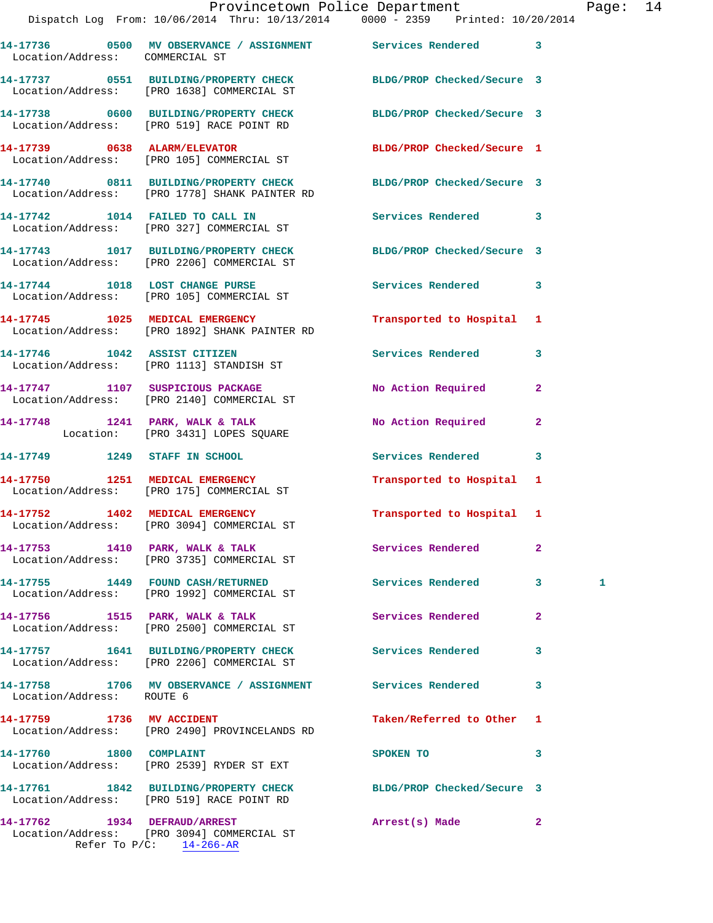|                                 | Dispatch Log From: 10/06/2014 Thru: 10/13/2014 0000 - 2359 Printed: 10/20/2014                                    | Provincetown Police Department |              | Page: 14 |  |
|---------------------------------|-------------------------------------------------------------------------------------------------------------------|--------------------------------|--------------|----------|--|
| Location/Address: COMMERCIAL ST | 14-17736 0500 MV OBSERVANCE / ASSIGNMENT Services Rendered 3                                                      |                                |              |          |  |
|                                 | 14-17737 0551 BUILDING/PROPERTY CHECK BLDG/PROP Checked/Secure 3<br>Location/Address: [PRO 1638] COMMERCIAL ST    |                                |              |          |  |
|                                 | 14-17738 0600 BUILDING/PROPERTY CHECK<br>Location/Address: [PRO 519] RACE POINT RD                                | BLDG/PROP Checked/Secure 3     |              |          |  |
| 14-17739 0638 ALARM/ELEVATOR    | Location/Address: [PRO 105] COMMERCIAL ST                                                                         | BLDG/PROP Checked/Secure 1     |              |          |  |
|                                 | 14-17740 0811 BUILDING/PROPERTY CHECK BLDG/PROP Checked/Secure 3<br>Location/Address: [PRO 1778] SHANK PAINTER RD |                                |              |          |  |
|                                 | 14-17742 1014 FAILED TO CALL IN<br>Location/Address: [PRO 327] COMMERCIAL ST                                      | <b>Services Rendered</b>       | 3            |          |  |
|                                 | 14-17743 1017 BUILDING/PROPERTY CHECK BLDG/PROP Checked/Secure 3<br>Location/Address: [PRO 2206] COMMERCIAL ST    |                                |              |          |  |
|                                 | 14-17744 1018 LOST CHANGE PURSE<br>Location/Address: [PRO 105] COMMERCIAL ST                                      | <b>Services Rendered</b>       | 3            |          |  |
|                                 | 14-17745 1025 MEDICAL EMERGENCY<br>Location/Address: [PRO 1892] SHANK PAINTER RD                                  | Transported to Hospital 1      |              |          |  |
|                                 | 14-17746 1042 ASSIST CITIZEN<br>Location/Address: [PRO 1113] STANDISH ST                                          | Services Rendered              | 3            |          |  |
|                                 | 14-17747 1107 SUSPICIOUS PACKAGE<br>Location/Address: [PRO 2140] COMMERCIAL ST                                    | No Action Required             | $\mathbf{2}$ |          |  |
|                                 | 14-17748 1241 PARK, WALK & TALK<br>Location: [PRO 3431] LOPES SQUARE                                              | No Action Required             | 2            |          |  |
|                                 | 14-17749 1249 STAFF IN SCHOOL                                                                                     | Services Rendered 3            |              |          |  |
|                                 | 14-17750 1251 MEDICAL EMERGENCY<br>Location/Address: [PRO 175] COMMERCIAL ST                                      | Transported to Hospital 1      |              |          |  |
|                                 | 14-17752 1402 MEDICAL EMERGENCY<br>Location/Address: [PRO 3094] COMMERCIAL ST                                     | Transported to Hospital 1      |              |          |  |
|                                 | 14-17753 1410 PARK, WALK & TALK<br>Location/Address: [PRO 3735] COMMERCIAL ST                                     | Services Rendered              | 2            |          |  |
|                                 | 14-17755 1449 FOUND CASH/RETURNED<br>Location/Address: [PRO 1992] COMMERCIAL ST                                   | Services Rendered              | $3^{\circ}$  | 1        |  |
|                                 | 14-17756 1515 PARK, WALK & TALK<br>Location/Address: [PRO 2500] COMMERCIAL ST                                     | Services Rendered              | $\mathbf{2}$ |          |  |
|                                 | 14-17757 1641 BUILDING/PROPERTY CHECK<br>Location/Address: [PRO 2206] COMMERCIAL ST                               | Services Rendered              | 3            |          |  |
| Location/Address: ROUTE 6       | 14-17758 1706 MV OBSERVANCE / ASSIGNMENT Services Rendered                                                        |                                | 3            |          |  |
|                                 | 14-17759 1736 MV ACCIDENT<br>Location/Address: [PRO 2490] PROVINCELANDS RD                                        | Taken/Referred to Other 1      |              |          |  |
| 14-17760 1800 COMPLAINT         | Location/Address: [PRO 2539] RYDER ST EXT                                                                         | SPOKEN TO                      | 3            |          |  |
|                                 | 14-17761 1842 BUILDING/PROPERTY CHECK BLDG/PROP Checked/Secure 3<br>Location/Address: [PRO 519] RACE POINT RD     |                                |              |          |  |
| 14-17762 1934 DEFRAUD/ARREST    |                                                                                                                   | Arrest(s) Made                 | $\mathbf{2}$ |          |  |

 Location/Address: [PRO 3094] COMMERCIAL ST Refer To P/C: 14-266-AR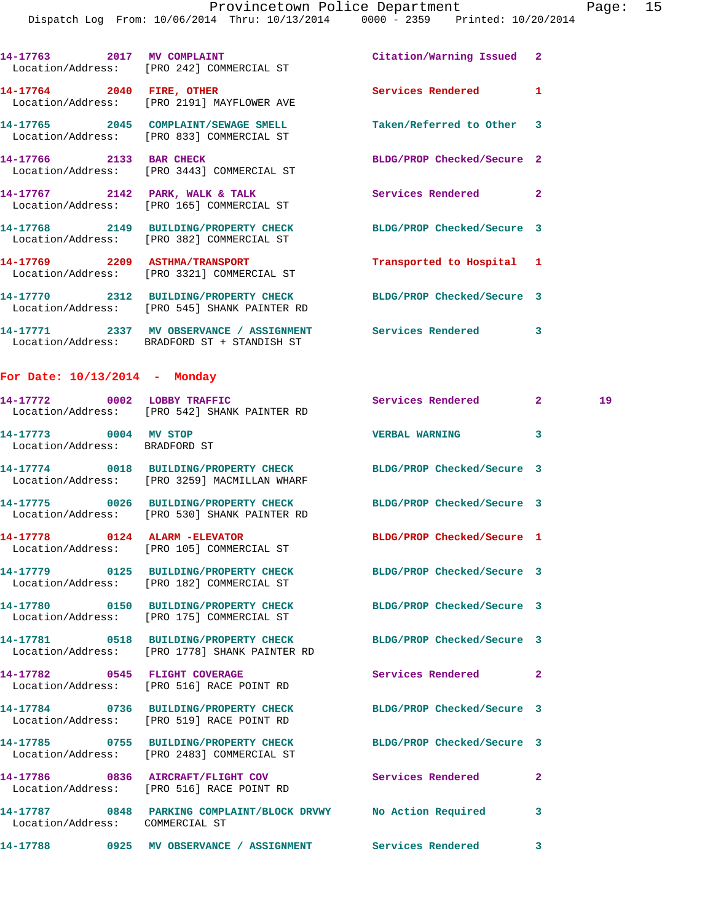|                                                        | 14-17763 2017 MV COMPLAINT<br>Location/Address: [PRO 242] COMMERCIAL ST                                           | Citation/Warning Issued 2  |              |    |
|--------------------------------------------------------|-------------------------------------------------------------------------------------------------------------------|----------------------------|--------------|----|
|                                                        | 14-17764 2040 FIRE, OTHER<br>Location/Address: [PRO 2191] MAYFLOWER AVE                                           | Services Rendered          | 1            |    |
|                                                        | 14-17765 2045 COMPLAINT/SEWAGE SMELL<br>Location/Address: [PRO 833] COMMERCIAL ST                                 | Taken/Referred to Other 3  |              |    |
| 14-17766 2133 BAR CHECK                                | Location/Address: [PRO 3443] COMMERCIAL ST                                                                        | BLDG/PROP Checked/Secure 2 |              |    |
|                                                        | 14-17767 2142 PARK, WALK & TALK<br>Location/Address: [PRO 165] COMMERCIAL ST                                      | <b>Services Rendered</b> 2 |              |    |
|                                                        | 14-17768 2149 BUILDING/PROPERTY CHECK<br>Location/Address: [PRO 382] COMMERCIAL ST                                | BLDG/PROP Checked/Secure 3 |              |    |
|                                                        | 14-17769 2209 ASTHMA/TRANSPORT<br>Location/Address: [PRO 3321] COMMERCIAL ST                                      | Transported to Hospital 1  |              |    |
|                                                        | 14-17770 2312 BUILDING/PROPERTY CHECK BLDG/PROP Checked/Secure 3<br>Location/Address: [PRO 545] SHANK PAINTER RD  |                            |              |    |
|                                                        | 14-17771 2337 MV OBSERVANCE / ASSIGNMENT Services Rendered 3<br>Location/Address: BRADFORD ST + STANDISH ST       |                            |              |    |
| For Date: $10/13/2014$ - Monday                        |                                                                                                                   |                            |              |    |
|                                                        | 14-17772 0002 LOBBY TRAFFIC<br>Location/Address: [PRO 542] SHANK PAINTER RD                                       | Services Rendered 2        |              | 19 |
| 14-17773 0004 MV STOP<br>Location/Address: BRADFORD ST |                                                                                                                   | <b>VERBAL WARNING</b>      | 3            |    |
|                                                        | 14-17774 0018 BUILDING/PROPERTY CHECK BLDG/PROP Checked/Secure 3<br>Location/Address: [PRO 3259] MACMILLAN WHARF  |                            |              |    |
|                                                        | 14-17775 0026 BUILDING/PROPERTY CHECK BLDG/PROP Checked/Secure 3<br>Location/Address: [PRO 530] SHANK PAINTER RD  |                            |              |    |
| 14-17778 0124 ALARM - ELEVATOR                         | Location/Address: [PRO 105] COMMERCIAL ST                                                                         | BLDG/PROP Checked/Secure 1 |              |    |
|                                                        | Location/Address: [PRO 182] COMMERCIAL ST                                                                         | BLDG/PROP Checked/Secure 3 |              |    |
|                                                        | 14-17780 0150 BUILDING/PROPERTY CHECK<br>Location/Address: [PRO 175] COMMERCIAL ST                                | BLDG/PROP Checked/Secure 3 |              |    |
|                                                        | 14-17781 0518 BUILDING/PROPERTY CHECK BLDG/PROP Checked/Secure 3<br>Location/Address: [PRO 1778] SHANK PAINTER RD |                            |              |    |
|                                                        | 14-17782 0545 FLIGHT COVERAGE<br>Location/Address: [PRO 516] RACE POINT RD                                        | Services Rendered          | $\mathbf{2}$ |    |
|                                                        | 14-17784 0736 BUILDING/PROPERTY CHECK BLDG/PROP Checked/Secure 3<br>Location/Address: [PRO 519] RACE POINT RD     |                            |              |    |
|                                                        | 14-17785 0755 BUILDING/PROPERTY CHECK BLDG/PROP Checked/Secure 3<br>Location/Address: [PRO 2483] COMMERCIAL ST    |                            |              |    |
|                                                        | 14-17786 0836 AIRCRAFT/FLIGHT COV Services Rendered<br>Location/Address: [PRO 516] RACE POINT RD                  |                            | $\mathbf{2}$ |    |
| Location/Address: COMMERCIAL ST                        | 14-17787 0848 PARKING COMPLAINT/BLOCK DRVWY No Action Required 3                                                  |                            |              |    |
|                                                        | 14-17788 0925 MV OBSERVANCE / ASSIGNMENT Services Rendered                                                        |                            | 3            |    |
|                                                        |                                                                                                                   |                            |              |    |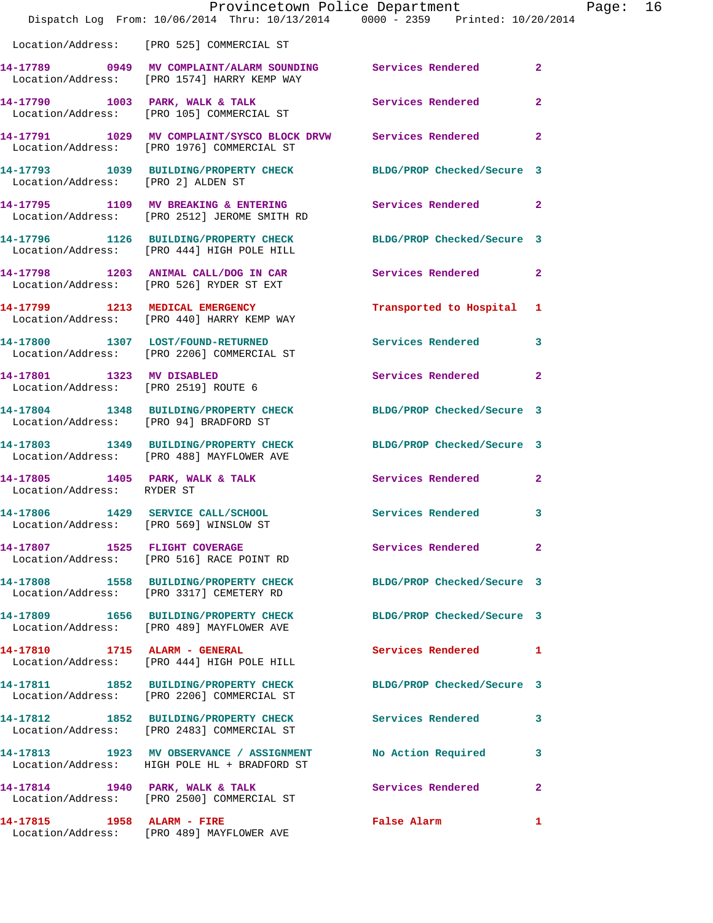|                                                                   | Dispatch Log From: 10/06/2014 Thru: 10/13/2014 0000 - 2359 Printed: 10/20/2014                                 | Provincetown Police Department |                | Page: 16 |  |
|-------------------------------------------------------------------|----------------------------------------------------------------------------------------------------------------|--------------------------------|----------------|----------|--|
|                                                                   | Location/Address: [PRO 525] COMMERCIAL ST                                                                      |                                |                |          |  |
|                                                                   | 14-17789 0949 MV COMPLAINT/ALARM SOUNDING Services Rendered<br>Location/Address: [PRO 1574] HARRY KEMP WAY     |                                | $\overline{2}$ |          |  |
|                                                                   | 14-17790 1003 PARK, WALK & TALK 1999 Services Rendered<br>Location/Address: [PRO 105] COMMERCIAL ST            |                                | $\mathbf{2}$   |          |  |
|                                                                   | 14-17791 1029 MV COMPLAINT/SYSCO BLOCK DRVW Services Rendered 2<br>Location/Address: [PRO 1976] COMMERCIAL ST  |                                |                |          |  |
| Location/Address: [PRO 2] ALDEN ST                                | 14-17793 1039 BUILDING/PROPERTY CHECK BLDG/PROP Checked/Secure 3                                               |                                |                |          |  |
|                                                                   | 14-17795 1109 MV BREAKING & ENTERING Services Rendered 2<br>Location/Address: [PRO 2512] JEROME SMITH RD       |                                |                |          |  |
|                                                                   | 14-17796 1126 BUILDING/PROPERTY CHECK<br>Location/Address: [PRO 444] HIGH POLE HILL                            | BLDG/PROP Checked/Secure 3     |                |          |  |
|                                                                   | 14-17798 1203 ANIMAL CALL/DOG IN CAR Services Rendered 2<br>Location/Address: [PRO 526] RYDER ST EXT           |                                |                |          |  |
|                                                                   | 14-17799 1213 MEDICAL EMERGENCY<br>Location/Address: [PRO 440] HARRY KEMP WAY                                  | Transported to Hospital 1      |                |          |  |
|                                                                   | 14-17800 1307 LOST/FOUND-RETURNED<br>Location/Address: [PRO 2206] COMMERCIAL ST                                | Services Rendered              | $\mathbf{3}$   |          |  |
| 14-17801 1323 MV DISABLED<br>Location/Address: [PRO 2519] ROUTE 6 |                                                                                                                | Services Rendered              | $\overline{2}$ |          |  |
| Location/Address: [PRO 94] BRADFORD ST                            | 14-17804 1348 BUILDING/PROPERTY CHECK BLDG/PROP Checked/Secure 3                                               |                                |                |          |  |
|                                                                   | 14-17803 1349 BUILDING/PROPERTY CHECK BLDG/PROP Checked/Secure 3<br>Location/Address: [PRO 488] MAYFLOWER AVE  |                                |                |          |  |
| Location/Address: RYDER ST                                        | 14-17805 1405 PARK, WALK & TALK                                                                                | Services Rendered              | $\mathbf{2}$   |          |  |
| Location/Address: [PRO 569] WINSLOW ST                            | 14-17806 1429 SERVICE CALL/SCHOOL Services Rendered 3                                                          |                                |                |          |  |
|                                                                   | 14-17807 1525 FLIGHT COVERAGE<br>Location/Address: [PRO 516] RACE POINT RD                                     | Services Rendered 2            |                |          |  |
|                                                                   | 14-17808 1558 BUILDING/PROPERTY CHECK BLDG/PROP Checked/Secure 3<br>Location/Address: [PRO 3317] CEMETERY RD   |                                |                |          |  |
|                                                                   | 14-17809 1656 BUILDING/PROPERTY CHECK BLDG/PROP Checked/Secure 3<br>Location/Address: [PRO 489] MAYFLOWER AVE  |                                |                |          |  |
|                                                                   | 14-17810 1715 ALARM - GENERAL<br>Location/Address: [PRO 444] HIGH POLE HILL                                    | Services Rendered 1            |                |          |  |
|                                                                   | 14-17811 1852 BUILDING/PROPERTY CHECK BLDG/PROP Checked/Secure 3<br>Location/Address: [PRO 2206] COMMERCIAL ST |                                |                |          |  |
|                                                                   | 14-17812 1852 BUILDING/PROPERTY CHECK<br>Location/Address: [PRO 2483] COMMERCIAL ST                            | Services Rendered              | 3              |          |  |
|                                                                   | 14-17813 1923 MV OBSERVANCE / ASSIGNMENT<br>Location/Address: HIGH POLE HL + BRADFORD ST                       | No Action Required             | $\mathbf{3}$   |          |  |
|                                                                   | 14-17814 1940 PARK, WALK & TALK<br>Location/Address: [PRO 2500] COMMERCIAL ST                                  | Services Rendered 2            |                |          |  |
|                                                                   | 14-17815 1958 ALARM - FIRE<br>Location/Address: [PRO 489] MAYFLOWER AVE                                        | False Alarm                    | 1              |          |  |